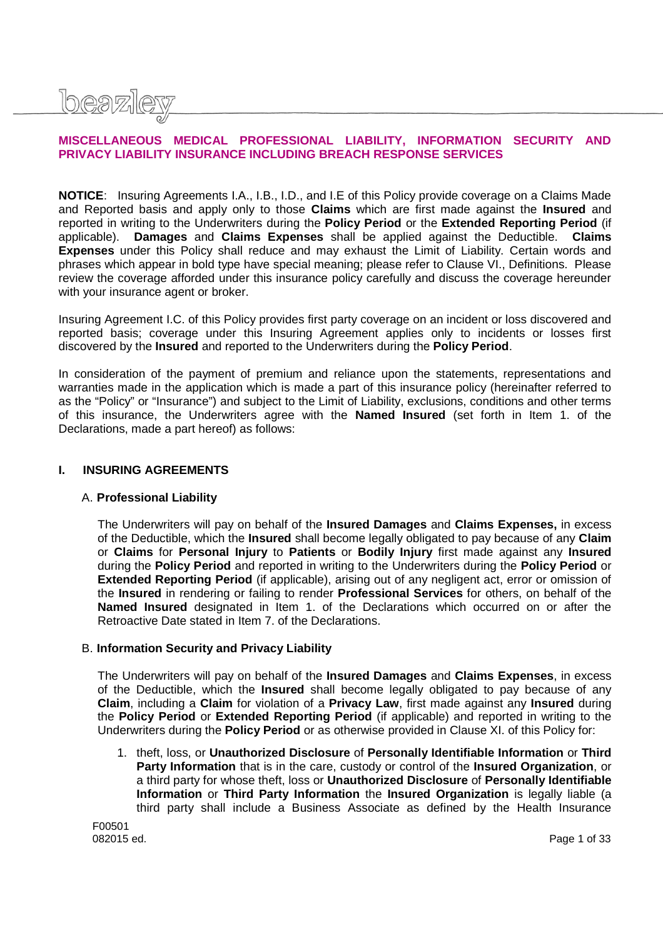

# **MISCELLANEOUS MEDICAL PROFESSIONAL LIABILITY, INFORMATION SECURITY AND PRIVACY LIABILITY INSURANCE INCLUDING BREACH RESPONSE SERVICES**

**NOTICE**: Insuring Agreements I.A., I.B., I.D., and I.E of this Policy provide coverage on a Claims Made and Reported basis and apply only to those **Claims** which are first made against the **Insured** and reported in writing to the Underwriters during the **Policy Period** or the **Extended Reporting Period** (if applicable). **Damages** and **Claims Expenses** shall be applied against the Deductible. **Claims Expenses** under this Policy shall reduce and may exhaust the Limit of Liability. Certain words and phrases which appear in bold type have special meaning; please refer to Clause VI., Definitions. Please review the coverage afforded under this insurance policy carefully and discuss the coverage hereunder with your insurance agent or broker.

Insuring Agreement I.C. of this Policy provides first party coverage on an incident or loss discovered and reported basis; coverage under this Insuring Agreement applies only to incidents or losses first discovered by the **Insured** and reported to the Underwriters during the **Policy Period**.

In consideration of the payment of premium and reliance upon the statements, representations and warranties made in the application which is made a part of this insurance policy (hereinafter referred to as the "Policy" or "Insurance") and subject to the Limit of Liability, exclusions, conditions and other terms of this insurance, the Underwriters agree with the **Named Insured** (set forth in Item 1. of the Declarations, made a part hereof) as follows:

### **I. INSURING AGREEMENTS**

### A. **Professional Liability**

The Underwriters will pay on behalf of the **Insured Damages** and **Claims Expenses,** in excess of the Deductible, which the **Insured** shall become legally obligated to pay because of any **Claim** or **Claims** for **Personal Injury** to **Patients** or **Bodily Injury** first made against any **Insured** during the **Policy Period** and reported in writing to the Underwriters during the **Policy Period** or **Extended Reporting Period** (if applicable), arising out of any negligent act, error or omission of the **Insured** in rendering or failing to render **Professional Services** for others, on behalf of the **Named Insured** designated in Item 1. of the Declarations which occurred on or after the Retroactive Date stated in Item 7. of the Declarations.

### B. **Information Security and Privacy Liability**

The Underwriters will pay on behalf of the **Insured Damages** and **Claims Expenses**, in excess of the Deductible, which the **Insured** shall become legally obligated to pay because of any **Claim**, including a **Claim** for violation of a **Privacy Law**, first made against any **Insured** during the **Policy Period** or **Extended Reporting Period** (if applicable) and reported in writing to the Underwriters during the **Policy Period** or as otherwise provided in Clause XI. of this Policy for:

1. theft, loss, or **Unauthorized Disclosure** of **Personally Identifiable Information** or **Third Party Information** that is in the care, custody or control of the **Insured Organization**, or a third party for whose theft, loss or **Unauthorized Disclosure** of **Personally Identifiable Information** or **Third Party Information** the **Insured Organization** is legally liable (a third party shall include a Business Associate as defined by the Health Insurance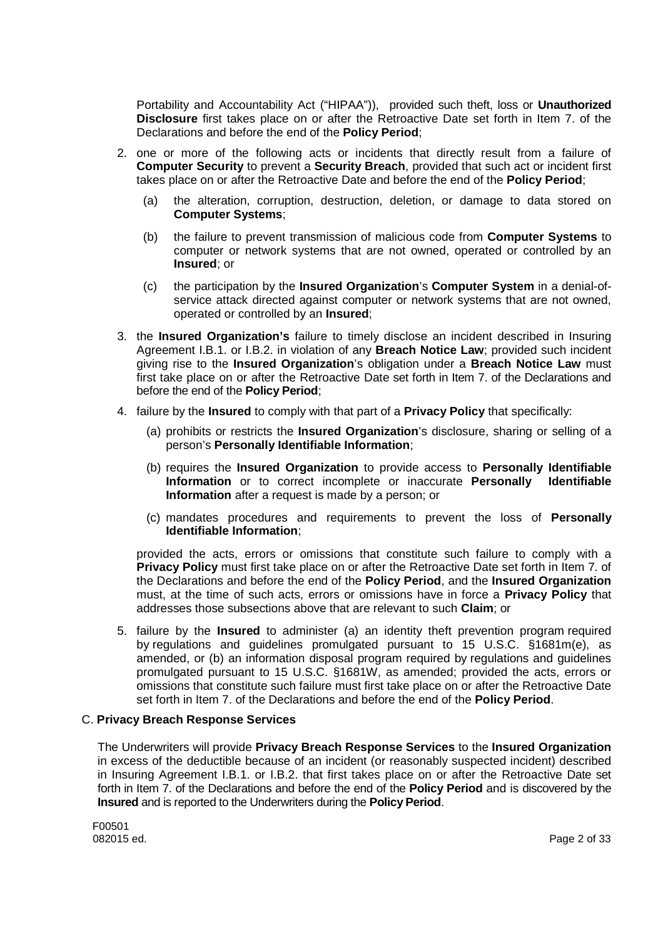Portability and Accountability Act ("HIPAA")), provided such theft, loss or **Unauthorized Disclosure** first takes place on or after the Retroactive Date set forth in Item 7. of the Declarations and before the end of the **Policy Period**;

- 2. one or more of the following acts or incidents that directly result from a failure of **Computer Security** to prevent a **Security Breach**, provided that such act or incident first takes place on or after the Retroactive Date and before the end of the **Policy Period**;
	- (a) the alteration, corruption, destruction, deletion, or damage to data stored on **Computer Systems**;
	- (b) the failure to prevent transmission of malicious code from **Computer Systems** to computer or network systems that are not owned, operated or controlled by an **Insured**; or
	- (c) the participation by the **Insured Organization**'s **Computer System** in a denial-ofservice attack directed against computer or network systems that are not owned, operated or controlled by an **Insured**;
- 3. the **Insured Organization's** failure to timely disclose an incident described in Insuring Agreement I.B.1. or I.B.2. in violation of any **Breach Notice Law**; provided such incident giving rise to the **Insured Organization**'s obligation under a **Breach Notice Law** must first take place on or after the Retroactive Date set forth in Item 7. of the Declarations and before the end of the **Policy Period**;
- 4. failure by the **Insured** to comply with that part of a **Privacy Policy** that specifically:
	- (a) prohibits or restricts the **Insured Organization**'s disclosure, sharing or selling of a person's **Personally Identifiable Information**;
	- (b) requires the **Insured Organization** to provide access to **Personally Identifiable Information** or to correct incomplete or inaccurate **Personally Identifiable Information** after a request is made by a person; or
	- (c) mandates procedures and requirements to prevent the loss of **Personally Identifiable Information**;

provided the acts, errors or omissions that constitute such failure to comply with a **Privacy Policy** must first take place on or after the Retroactive Date set forth in Item 7. of the Declarations and before the end of the **Policy Period**, and the **Insured Organization** must, at the time of such acts, errors or omissions have in force a **Privacy Policy** that addresses those subsections above that are relevant to such **Claim**; or

5. failure by the **Insured** to administer (a) an identity theft prevention program required by regulations and guidelines promulgated pursuant to 15 U.S.C. §1681m(e), as amended, or (b) an information disposal program required by regulations and guidelines promulgated pursuant to 15 U.S.C. §1681W, as amended; provided the acts, errors or omissions that constitute such failure must first take place on or after the Retroactive Date set forth in Item 7. of the Declarations and before the end of the **Policy Period**.

### C. **Privacy Breach Response Services**

The Underwriters will provide **Privacy Breach Response Services** to the **Insured Organization** in excess of the deductible because of an incident (or reasonably suspected incident) described in Insuring Agreement I.B.1. or I.B.2. that first takes place on or after the Retroactive Date set forth in Item 7. of the Declarations and before the end of the **Policy Period** and is discovered by the **Insured** and is reported to the Underwriters during the **Policy Period**.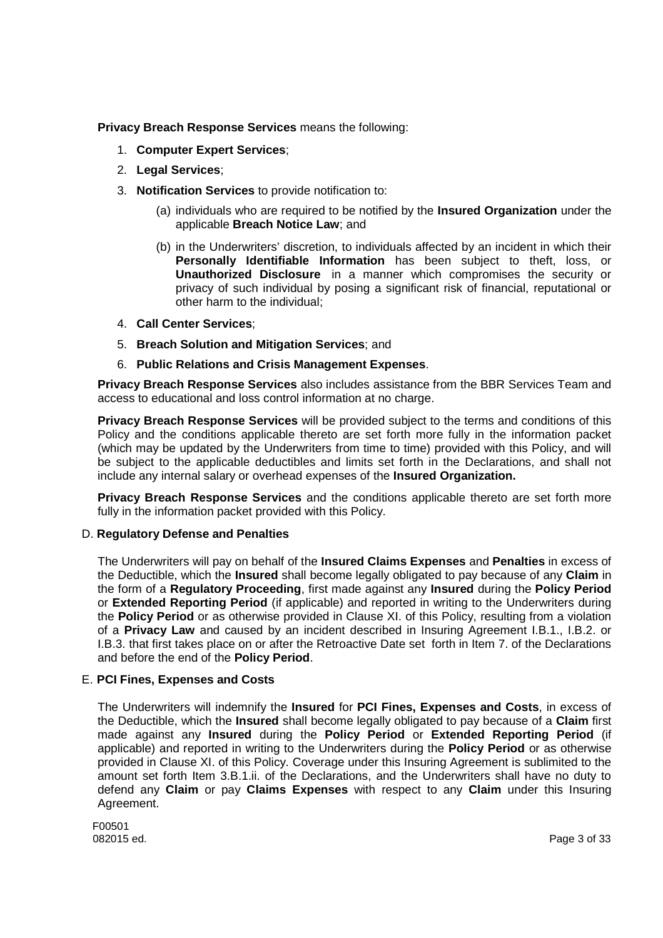**Privacy Breach Response Services** means the following:

- 1. **Computer Expert Services**;
- 2. **Legal Services**;
- 3. **Notification Services** to provide notification to:
	- (a) individuals who are required to be notified by the **Insured Organization** under the applicable **Breach Notice Law**; and
	- (b) in the Underwriters' discretion, to individuals affected by an incident in which their **Personally Identifiable Information** has been subject to theft, loss, or **Unauthorized Disclosure** in a manner which compromises the security or privacy of such individual by posing a significant risk of financial, reputational or other harm to the individual;
- 4. **Call Center Services**;
- 5. **Breach Solution and Mitigation Services**; and
- 6. **Public Relations and Crisis Management Expenses**.

**Privacy Breach Response Services** also includes assistance from the BBR Services Team and access to educational and loss control information at no charge.

**Privacy Breach Response Services** will be provided subject to the terms and conditions of this Policy and the conditions applicable thereto are set forth more fully in the information packet (which may be updated by the Underwriters from time to time) provided with this Policy, and will be subject to the applicable deductibles and limits set forth in the Declarations, and shall not include any internal salary or overhead expenses of the **Insured Organization.**

**Privacy Breach Response Services** and the conditions applicable thereto are set forth more fully in the information packet provided with this Policy.

### D. **Regulatory Defense and Penalties**

The Underwriters will pay on behalf of the **Insured Claims Expenses** and **Penalties** in excess of the Deductible, which the **Insured** shall become legally obligated to pay because of any **Claim** in the form of a **Regulatory Proceeding**, first made against any **Insured** during the **Policy Period** or **Extended Reporting Period** (if applicable) and reported in writing to the Underwriters during the **Policy Period** or as otherwise provided in Clause XI. of this Policy, resulting from a violation of a **Privacy Law** and caused by an incident described in Insuring Agreement I.B.1., I.B.2. or I.B.3. that first takes place on or after the Retroactive Date set forth in Item 7. of the Declarations and before the end of the **Policy Period**.

### E. **PCI Fines, Expenses and Costs**

The Underwriters will indemnify the **Insured** for **PCI Fines, Expenses and Costs**, in excess of the Deductible, which the **Insured** shall become legally obligated to pay because of a **Claim** first made against any **Insured** during the **Policy Period** or **Extended Reporting Period** (if applicable) and reported in writing to the Underwriters during the **Policy Period** or as otherwise provided in Clause XI. of this Policy. Coverage under this Insuring Agreement is sublimited to the amount set forth Item 3.B.1.ii. of the Declarations, and the Underwriters shall have no duty to defend any **Claim** or pay **Claims Expenses** with respect to any **Claim** under this Insuring Agreement.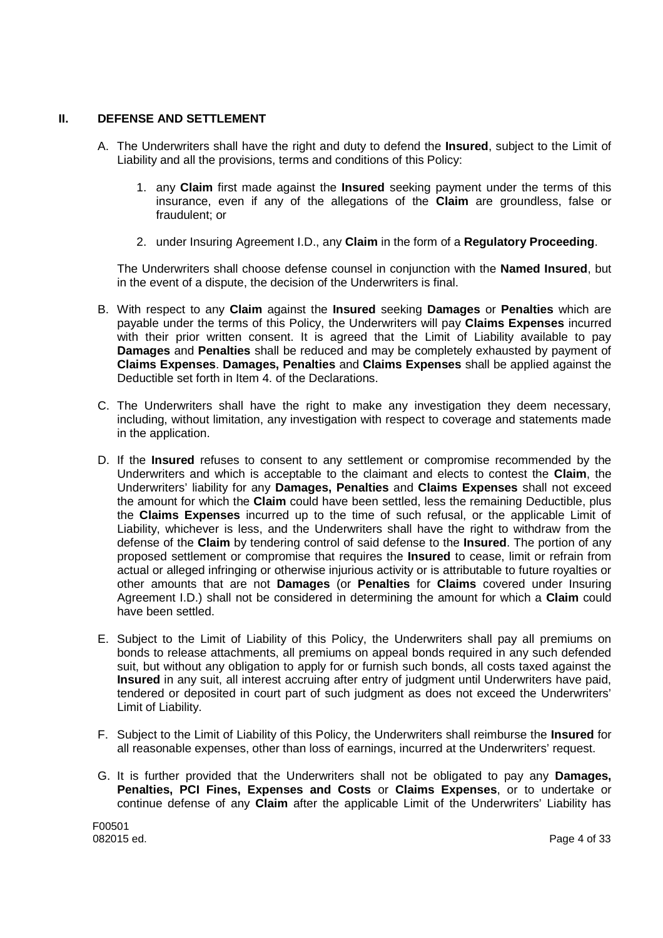## **II. DEFENSE AND SETTLEMENT**

- A. The Underwriters shall have the right and duty to defend the **Insured**, subject to the Limit of Liability and all the provisions, terms and conditions of this Policy:
	- 1. any **Claim** first made against the **Insured** seeking payment under the terms of this insurance, even if any of the allegations of the **Claim** are groundless, false or fraudulent; or
	- 2. under Insuring Agreement I.D., any **Claim** in the form of a **Regulatory Proceeding**.

The Underwriters shall choose defense counsel in conjunction with the **Named Insured**, but in the event of a dispute, the decision of the Underwriters is final.

- B. With respect to any **Claim** against the **Insured** seeking **Damages** or **Penalties** which are payable under the terms of this Policy, the Underwriters will pay **Claims Expenses** incurred with their prior written consent. It is agreed that the Limit of Liability available to pay **Damages** and **Penalties** shall be reduced and may be completely exhausted by payment of **Claims Expenses**. **Damages, Penalties** and **Claims Expenses** shall be applied against the Deductible set forth in Item 4. of the Declarations.
- C. The Underwriters shall have the right to make any investigation they deem necessary, including, without limitation, any investigation with respect to coverage and statements made in the application.
- D. If the **Insured** refuses to consent to any settlement or compromise recommended by the Underwriters and which is acceptable to the claimant and elects to contest the **Claim**, the Underwriters' liability for any **Damages, Penalties** and **Claims Expenses** shall not exceed the amount for which the **Claim** could have been settled, less the remaining Deductible, plus the **Claims Expenses** incurred up to the time of such refusal, or the applicable Limit of Liability, whichever is less, and the Underwriters shall have the right to withdraw from the defense of the **Claim** by tendering control of said defense to the **Insured**. The portion of any proposed settlement or compromise that requires the **Insured** to cease, limit or refrain from actual or alleged infringing or otherwise injurious activity or is attributable to future royalties or other amounts that are not **Damages** (or **Penalties** for **Claims** covered under Insuring Agreement I.D.) shall not be considered in determining the amount for which a **Claim** could have been settled.
- E. Subject to the Limit of Liability of this Policy, the Underwriters shall pay all premiums on bonds to release attachments, all premiums on appeal bonds required in any such defended suit, but without any obligation to apply for or furnish such bonds, all costs taxed against the **Insured** in any suit, all interest accruing after entry of judgment until Underwriters have paid, tendered or deposited in court part of such judgment as does not exceed the Underwriters' Limit of Liability.
- F. Subject to the Limit of Liability of this Policy, the Underwriters shall reimburse the **Insured** for all reasonable expenses, other than loss of earnings, incurred at the Underwriters' request.
- G. It is further provided that the Underwriters shall not be obligated to pay any **Damages, Penalties, PCI Fines, Expenses and Costs** or **Claims Expenses**, or to undertake or continue defense of any **Claim** after the applicable Limit of the Underwriters' Liability has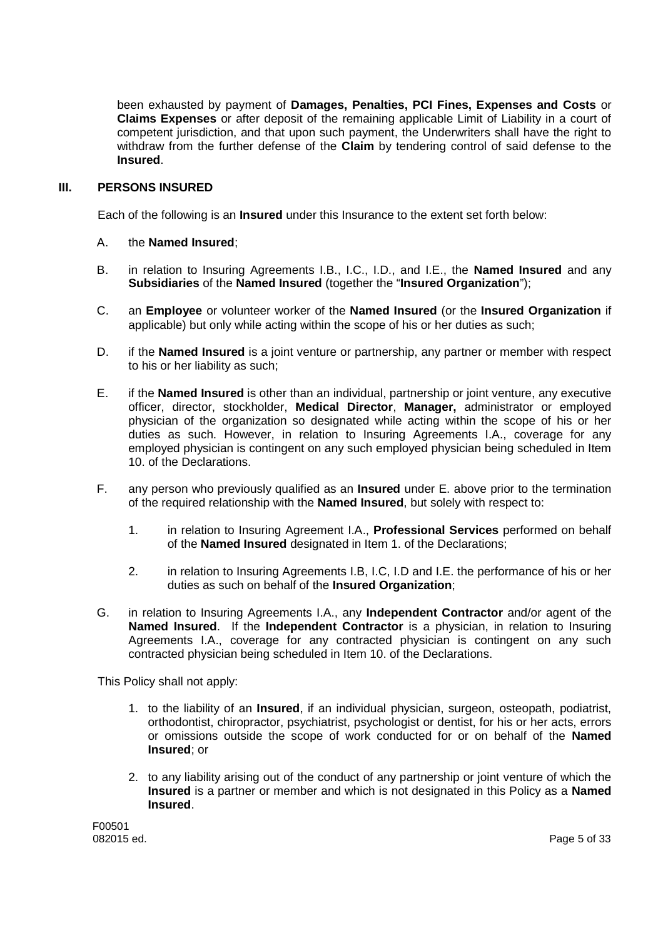been exhausted by payment of **Damages, Penalties, PCI Fines, Expenses and Costs** or **Claims Expenses** or after deposit of the remaining applicable Limit of Liability in a court of competent jurisdiction, and that upon such payment, the Underwriters shall have the right to withdraw from the further defense of the **Claim** by tendering control of said defense to the **Insured**.

### **III. PERSONS INSURED**

Each of the following is an **Insured** under this Insurance to the extent set forth below:

- A. the **Named Insured**;
- B. in relation to Insuring Agreements I.B., I.C., I.D., and I.E., the **Named Insured** and any **Subsidiaries** of the **Named Insured** (together the "**Insured Organization**");
- C. an **Employee** or volunteer worker of the **Named Insured** (or the **Insured Organization** if applicable) but only while acting within the scope of his or her duties as such;
- D. if the **Named Insured** is a joint venture or partnership, any partner or member with respect to his or her liability as such;
- E. if the **Named Insured** is other than an individual, partnership or joint venture, any executive officer, director, stockholder, **Medical Director**, **Manager,** administrator or employed physician of the organization so designated while acting within the scope of his or her duties as such. However, in relation to Insuring Agreements I.A., coverage for any employed physician is contingent on any such employed physician being scheduled in Item 10. of the Declarations.
- F. any person who previously qualified as an **Insured** under E. above prior to the termination of the required relationship with the **Named Insured**, but solely with respect to:
	- 1. in relation to Insuring Agreement I.A., **Professional Services** performed on behalf of the **Named Insured** designated in Item 1. of the Declarations;
	- 2. in relation to Insuring Agreements I.B, I.C, I.D and I.E. the performance of his or her duties as such on behalf of the **Insured Organization**;
- G. in relation to Insuring Agreements I.A., any **Independent Contractor** and/or agent of the **Named Insured**. If the **Independent Contractor** is a physician, in relation to Insuring Agreements I.A., coverage for any contracted physician is contingent on any such contracted physician being scheduled in Item 10. of the Declarations.

This Policy shall not apply:

- 1. to the liability of an **Insured**, if an individual physician, surgeon, osteopath, podiatrist, orthodontist, chiropractor, psychiatrist, psychologist or dentist, for his or her acts, errors or omissions outside the scope of work conducted for or on behalf of the **Named Insured**; or
- 2. to any liability arising out of the conduct of any partnership or joint venture of which the **Insured** is a partner or member and which is not designated in this Policy as a **Named Insured**.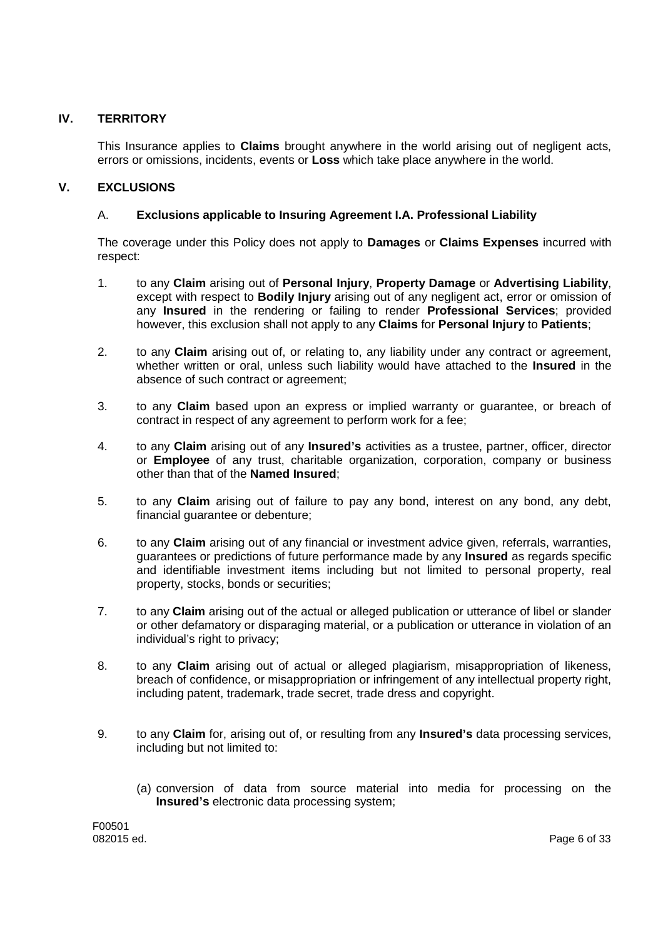## **IV. TERRITORY**

This Insurance applies to **Claims** brought anywhere in the world arising out of negligent acts, errors or omissions, incidents, events or **Loss** which take place anywhere in the world.

## **V. EXCLUSIONS**

## A. **Exclusions applicable to Insuring Agreement I.A. Professional Liability**

The coverage under this Policy does not apply to **Damages** or **Claims Expenses** incurred with respect:

- 1. to any **Claim** arising out of **Personal Injury**, **Property Damage** or **Advertising Liability**, except with respect to **Bodily Injury** arising out of any negligent act, error or omission of any **Insured** in the rendering or failing to render **Professional Services**; provided however, this exclusion shall not apply to any **Claims** for **Personal Injury** to **Patients**;
- 2. to any **Claim** arising out of, or relating to, any liability under any contract or agreement, whether written or oral, unless such liability would have attached to the **Insured** in the absence of such contract or agreement;
- 3. to any **Claim** based upon an express or implied warranty or guarantee, or breach of contract in respect of any agreement to perform work for a fee;
- 4. to any **Claim** arising out of any **Insured's** activities as a trustee, partner, officer, director or **Employee** of any trust, charitable organization, corporation, company or business other than that of the **Named Insured**;
- 5. to any **Claim** arising out of failure to pay any bond, interest on any bond, any debt, financial guarantee or debenture;
- 6. to any **Claim** arising out of any financial or investment advice given, referrals, warranties, guarantees or predictions of future performance made by any **Insured** as regards specific and identifiable investment items including but not limited to personal property, real property, stocks, bonds or securities;
- 7. to any **Claim** arising out of the actual or alleged publication or utterance of libel or slander or other defamatory or disparaging material, or a publication or utterance in violation of an individual's right to privacy;
- 8. to any **Claim** arising out of actual or alleged plagiarism, misappropriation of likeness, breach of confidence, or misappropriation or infringement of any intellectual property right, including patent, trademark, trade secret, trade dress and copyright.
- 9. to any **Claim** for, arising out of, or resulting from any **Insured's** data processing services, including but not limited to:
	- (a) conversion of data from source material into media for processing on the **Insured's** electronic data processing system;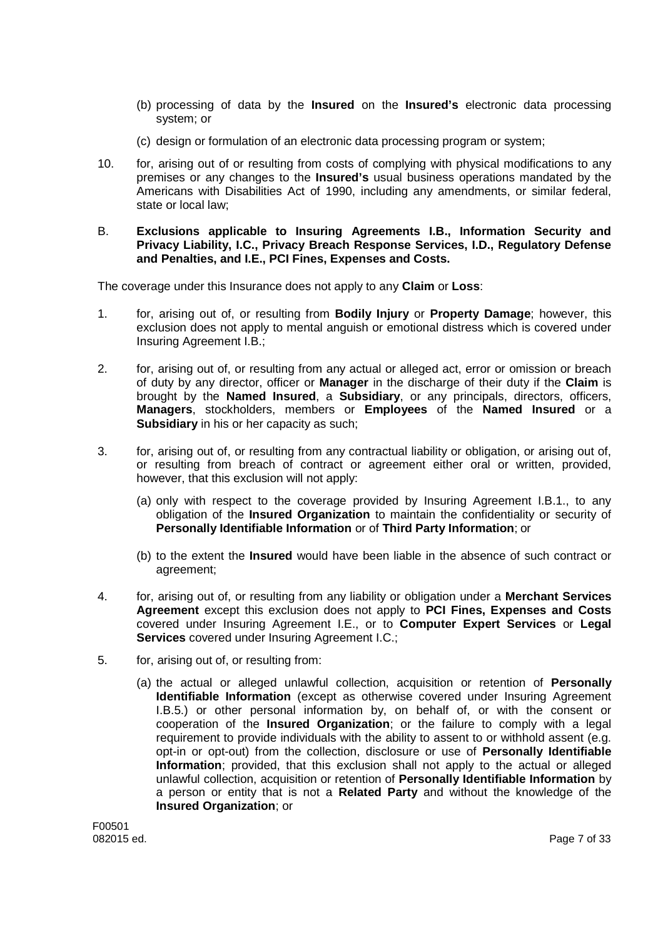- (b) processing of data by the **Insured** on the **Insured's** electronic data processing system; or
- (c) design or formulation of an electronic data processing program or system;
- 10. for, arising out of or resulting from costs of complying with physical modifications to any premises or any changes to the **Insured's** usual business operations mandated by the Americans with Disabilities Act of 1990, including any amendments, or similar federal, state or local law;
- B. **Exclusions applicable to Insuring Agreements I.B., Information Security and Privacy Liability, I.C., Privacy Breach Response Services, I.D., Regulatory Defense and Penalties, and I.E., PCI Fines, Expenses and Costs.**

The coverage under this Insurance does not apply to any **Claim** or **Loss**:

- 1. for, arising out of, or resulting from **Bodily Injury** or **Property Damage**; however, this exclusion does not apply to mental anguish or emotional distress which is covered under Insuring Agreement I.B.;
- 2. for, arising out of, or resulting from any actual or alleged act, error or omission or breach of duty by any director, officer or **Manager** in the discharge of their duty if the **Claim** is brought by the **Named Insured**, a **Subsidiary**, or any principals, directors, officers, **Managers**, stockholders, members or **Employees** of the **Named Insured** or a **Subsidiary** in his or her capacity as such;
- 3. for, arising out of, or resulting from any contractual liability or obligation, or arising out of, or resulting from breach of contract or agreement either oral or written, provided, however, that this exclusion will not apply:
	- (a) only with respect to the coverage provided by Insuring Agreement I.B.1., to any obligation of the **Insured Organization** to maintain the confidentiality or security of **Personally Identifiable Information** or of **Third Party Information**; or
	- (b) to the extent the **Insured** would have been liable in the absence of such contract or agreement;
- 4. for, arising out of, or resulting from any liability or obligation under a **Merchant Services Agreement** except this exclusion does not apply to **PCI Fines, Expenses and Costs** covered under Insuring Agreement I.E., or to **Computer Expert Services** or **Legal Services** covered under Insuring Agreement I.C.;
- 5. for, arising out of, or resulting from:
	- (a) the actual or alleged unlawful collection, acquisition or retention of **Personally Identifiable Information** (except as otherwise covered under Insuring Agreement I.B.5.) or other personal information by, on behalf of, or with the consent or cooperation of the **Insured Organization**; or the failure to comply with a legal requirement to provide individuals with the ability to assent to or withhold assent (e.g. opt-in or opt-out) from the collection, disclosure or use of **Personally Identifiable Information**; provided, that this exclusion shall not apply to the actual or alleged unlawful collection, acquisition or retention of **Personally Identifiable Information** by a person or entity that is not a **Related Party** and without the knowledge of the **Insured Organization**; or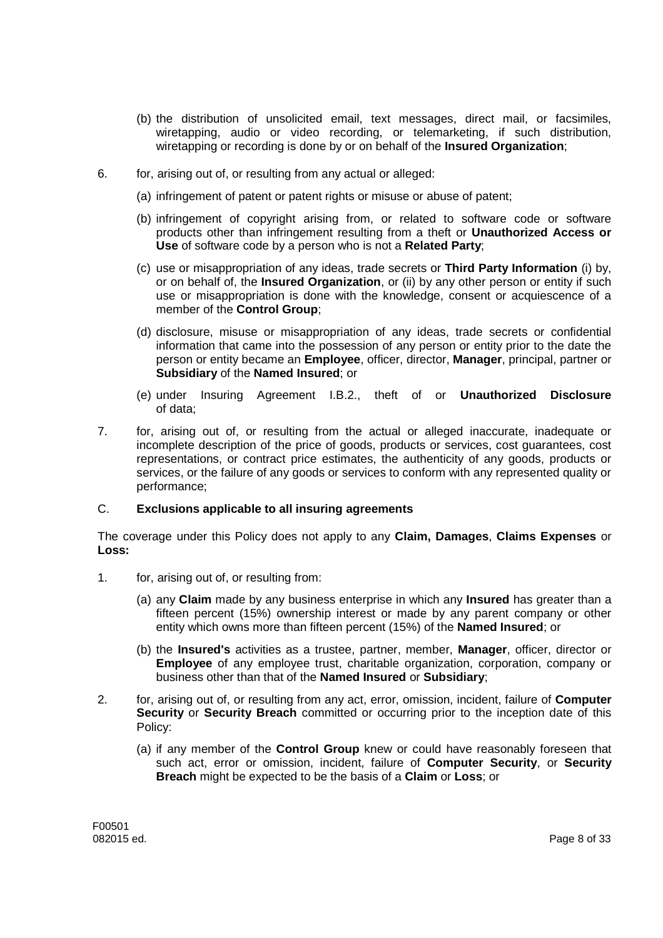- (b) the distribution of unsolicited email, text messages, direct mail, or facsimiles, wiretapping, audio or video recording, or telemarketing, if such distribution, wiretapping or recording is done by or on behalf of the **Insured Organization**;
- 6. for, arising out of, or resulting from any actual or alleged:
	- (a) infringement of patent or patent rights or misuse or abuse of patent;
	- (b) infringement of copyright arising from, or related to software code or software products other than infringement resulting from a theft or **Unauthorized Access or Use** of software code by a person who is not a **Related Party**;
	- (c) use or misappropriation of any ideas, trade secrets or **Third Party Information** (i) by, or on behalf of, the **Insured Organization**, or (ii) by any other person or entity if such use or misappropriation is done with the knowledge, consent or acquiescence of a member of the **Control Group**;
	- (d) disclosure, misuse or misappropriation of any ideas, trade secrets or confidential information that came into the possession of any person or entity prior to the date the person or entity became an **Employee**, officer, director, **Manager**, principal, partner or **Subsidiary** of the **Named Insured**; or
	- (e) under Insuring Agreement I.B.2., theft of or **Unauthorized Disclosure** of data;
- 7. for, arising out of, or resulting from the actual or alleged inaccurate, inadequate or incomplete description of the price of goods, products or services, cost guarantees, cost representations, or contract price estimates, the authenticity of any goods, products or services, or the failure of any goods or services to conform with any represented quality or performance;

### C. **Exclusions applicable to all insuring agreements**

The coverage under this Policy does not apply to any **Claim, Damages**, **Claims Expenses** or **Loss:**

- 1. for, arising out of, or resulting from:
	- (a) any **Claim** made by any business enterprise in which any **Insured** has greater than a fifteen percent (15%) ownership interest or made by any parent company or other entity which owns more than fifteen percent (15%) of the **Named Insured**; or
	- (b) the **Insured's** activities as a trustee, partner, member, **Manager**, officer, director or **Employee** of any employee trust, charitable organization, corporation, company or business other than that of the **Named Insured** or **Subsidiary**;
- 2. for, arising out of, or resulting from any act, error, omission, incident, failure of **Computer Security** or **Security Breach** committed or occurring prior to the inception date of this Policy:
	- (a) if any member of the **Control Group** knew or could have reasonably foreseen that such act, error or omission, incident, failure of **Computer Security**, or **Security Breach** might be expected to be the basis of a **Claim** or **Loss**; or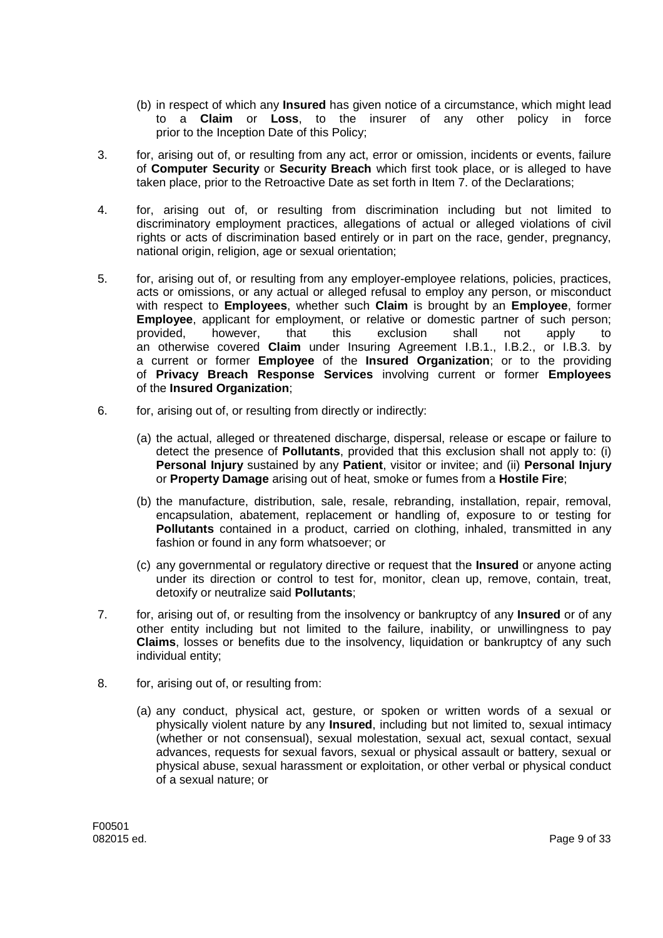- (b) in respect of which any **Insured** has given notice of a circumstance, which might lead to a **Claim** or **Loss**, to the insurer of any other policy in force prior to the Inception Date of this Policy;
- 3. for, arising out of, or resulting from any act, error or omission, incidents or events, failure of **Computer Security** or **Security Breach** which first took place, or is alleged to have taken place, prior to the Retroactive Date as set forth in Item 7. of the Declarations;
- 4. for, arising out of, or resulting from discrimination including but not limited to discriminatory employment practices, allegations of actual or alleged violations of civil rights or acts of discrimination based entirely or in part on the race, gender, pregnancy, national origin, religion, age or sexual orientation;
- 5. for, arising out of, or resulting from any employer-employee relations, policies, practices, acts or omissions, or any actual or alleged refusal to employ any person, or misconduct with respect to **Employees**, whether such **Claim** is brought by an **Employee**, former **Employee**, applicant for employment, or relative or domestic partner of such person; provided, however, that this exclusion shall not apply to an otherwise covered **Claim** under Insuring Agreement I.B.1., I.B.2., or I.B.3. by a current or former **Employee** of the **Insured Organization**; or to the providing of **Privacy Breach Response Services** involving current or former **Employees** of the **Insured Organization**;
- 6. for, arising out of, or resulting from directly or indirectly:
	- (a) the actual, alleged or threatened discharge, dispersal, release or escape or failure to detect the presence of **Pollutants**, provided that this exclusion shall not apply to: (i) **Personal Injury** sustained by any **Patient**, visitor or invitee; and (ii) **Personal Injury** or **Property Damage** arising out of heat, smoke or fumes from a **Hostile Fire**;
	- (b) the manufacture, distribution, sale, resale, rebranding, installation, repair, removal, encapsulation, abatement, replacement or handling of, exposure to or testing for **Pollutants** contained in a product, carried on clothing, inhaled, transmitted in any fashion or found in any form whatsoever; or
	- (c) any governmental or regulatory directive or request that the **Insured** or anyone acting under its direction or control to test for, monitor, clean up, remove, contain, treat, detoxify or neutralize said **Pollutants**;
- 7. for, arising out of, or resulting from the insolvency or bankruptcy of any **Insured** or of any other entity including but not limited to the failure, inability, or unwillingness to pay **Claims**, losses or benefits due to the insolvency, liquidation or bankruptcy of any such individual entity;
- 8. for, arising out of, or resulting from:
	- (a) any conduct, physical act, gesture, or spoken or written words of a sexual or physically violent nature by any **Insured**, including but not limited to, sexual intimacy (whether or not consensual), sexual molestation, sexual act, sexual contact, sexual advances, requests for sexual favors, sexual or physical assault or battery, sexual or physical abuse, sexual harassment or exploitation, or other verbal or physical conduct of a sexual nature; or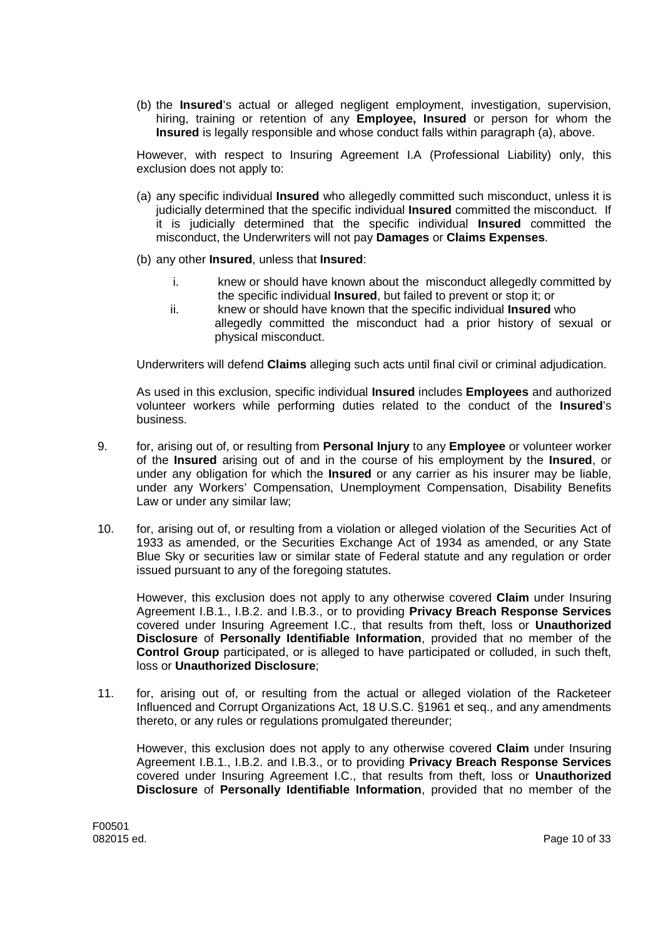(b) the **Insured**'s actual or alleged negligent employment, investigation, supervision, hiring, training or retention of any **Employee, Insured** or person for whom the **Insured** is legally responsible and whose conduct falls within paragraph (a), above.

However, with respect to Insuring Agreement I.A (Professional Liability) only, this exclusion does not apply to:

- (a) any specific individual **Insured** who allegedly committed such misconduct, unless it is judicially determined that the specific individual **Insured** committed the misconduct. If it is judicially determined that the specific individual **Insured** committed the misconduct, the Underwriters will not pay **Damages** or **Claims Expenses**.
- (b) any other **Insured**, unless that **Insured**:
	- i. knew or should have known about the misconduct allegedly committed by the specific individual **Insured**, but failed to prevent or stop it; or
	- ii. knew or should have known that the specific individual **Insured** who allegedly committed the misconduct had a prior history of sexual or physical misconduct.

Underwriters will defend **Claims** alleging such acts until final civil or criminal adjudication.

As used in this exclusion, specific individual **Insured** includes **Employees** and authorized volunteer workers while performing duties related to the conduct of the **Insured**'s business.

- 9. for, arising out of, or resulting from **Personal Injury** to any **Employee** or volunteer worker of the **Insured** arising out of and in the course of his employment by the **Insured**, or under any obligation for which the **Insured** or any carrier as his insurer may be liable, under any Workers' Compensation, Unemployment Compensation, Disability Benefits Law or under any similar law;
- 10. for, arising out of, or resulting from a violation or alleged violation of the Securities Act of 1933 as amended, or the Securities Exchange Act of 1934 as amended, or any State Blue Sky or securities law or similar state of Federal statute and any regulation or order issued pursuant to any of the foregoing statutes.

However, this exclusion does not apply to any otherwise covered **Claim** under Insuring Agreement I.B.1., I.B.2. and I.B.3., or to providing **Privacy Breach Response Services** covered under Insuring Agreement I.C., that results from theft, loss or **Unauthorized Disclosure** of **Personally Identifiable Information**, provided that no member of the **Control Group** participated, or is alleged to have participated or colluded, in such theft, loss or **Unauthorized Disclosure**;

11. for, arising out of, or resulting from the actual or alleged violation of the Racketeer Influenced and Corrupt Organizations Act, 18 U.S.C. §1961 et seq., and any amendments thereto, or any rules or regulations promulgated thereunder;

However, this exclusion does not apply to any otherwise covered **Claim** under Insuring Agreement I.B.1., I.B.2. and I.B.3., or to providing **Privacy Breach Response Services** covered under Insuring Agreement I.C., that results from theft, loss or **Unauthorized Disclosure** of **Personally Identifiable Information**, provided that no member of the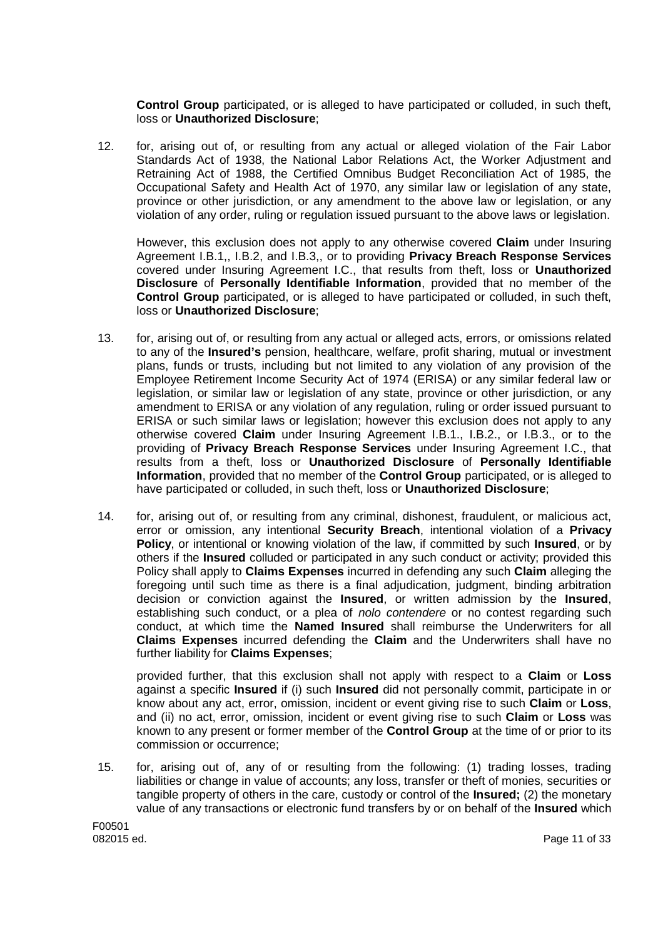**Control Group** participated, or is alleged to have participated or colluded, in such theft, loss or **Unauthorized Disclosure**;

12. for, arising out of, or resulting from any actual or alleged violation of the Fair Labor Standards Act of 1938, the National Labor Relations Act, the Worker Adjustment and Retraining Act of 1988, the Certified Omnibus Budget Reconciliation Act of 1985, the Occupational Safety and Health Act of 1970, any similar law or legislation of any state, province or other jurisdiction, or any amendment to the above law or legislation, or any violation of any order, ruling or regulation issued pursuant to the above laws or legislation.

However, this exclusion does not apply to any otherwise covered **Claim** under Insuring Agreement I.B.1,, I.B.2, and I.B.3,, or to providing **Privacy Breach Response Services** covered under Insuring Agreement I.C., that results from theft, loss or **Unauthorized Disclosure** of **Personally Identifiable Information**, provided that no member of the **Control Group** participated, or is alleged to have participated or colluded, in such theft, loss or **Unauthorized Disclosure**;

- 13. for, arising out of, or resulting from any actual or alleged acts, errors, or omissions related to any of the **Insured's** pension, healthcare, welfare, profit sharing, mutual or investment plans, funds or trusts, including but not limited to any violation of any provision of the Employee Retirement Income Security Act of 1974 (ERISA) or any similar federal law or legislation, or similar law or legislation of any state, province or other jurisdiction, or any amendment to ERISA or any violation of any regulation, ruling or order issued pursuant to ERISA or such similar laws or legislation; however this exclusion does not apply to any otherwise covered **Claim** under Insuring Agreement I.B.1., I.B.2., or I.B.3., or to the providing of **Privacy Breach Response Services** under Insuring Agreement I.C., that results from a theft, loss or **Unauthorized Disclosure** of **Personally Identifiable Information**, provided that no member of the **Control Group** participated, or is alleged to have participated or colluded, in such theft, loss or **Unauthorized Disclosure**;
- 14. for, arising out of, or resulting from any criminal, dishonest, fraudulent, or malicious act, error or omission, any intentional **Security Breach**, intentional violation of a **Privacy Policy**, or intentional or knowing violation of the law, if committed by such **Insured**, or by others if the **Insured** colluded or participated in any such conduct or activity; provided this Policy shall apply to **Claims Expenses** incurred in defending any such **Claim** alleging the foregoing until such time as there is a final adjudication, judgment, binding arbitration decision or conviction against the **Insured**, or written admission by the **Insured**, establishing such conduct, or a plea of *nolo contendere* or no contest regarding such conduct, at which time the **Named Insured** shall reimburse the Underwriters for all **Claims Expenses** incurred defending the **Claim** and the Underwriters shall have no further liability for **Claims Expenses**;

provided further, that this exclusion shall not apply with respect to a **Claim** or **Loss** against a specific **Insured** if (i) such **Insured** did not personally commit, participate in or know about any act, error, omission, incident or event giving rise to such **Claim** or **Loss**, and (ii) no act, error, omission, incident or event giving rise to such **Claim** or **Loss** was known to any present or former member of the **Control Group** at the time of or prior to its commission or occurrence;

15. for, arising out of, any of or resulting from the following: (1) trading losses, trading liabilities or change in value of accounts; any loss, transfer or theft of monies, securities or tangible property of others in the care, custody or control of the **Insured;** (2) the monetary value of any transactions or electronic fund transfers by or on behalf of the **Insured** which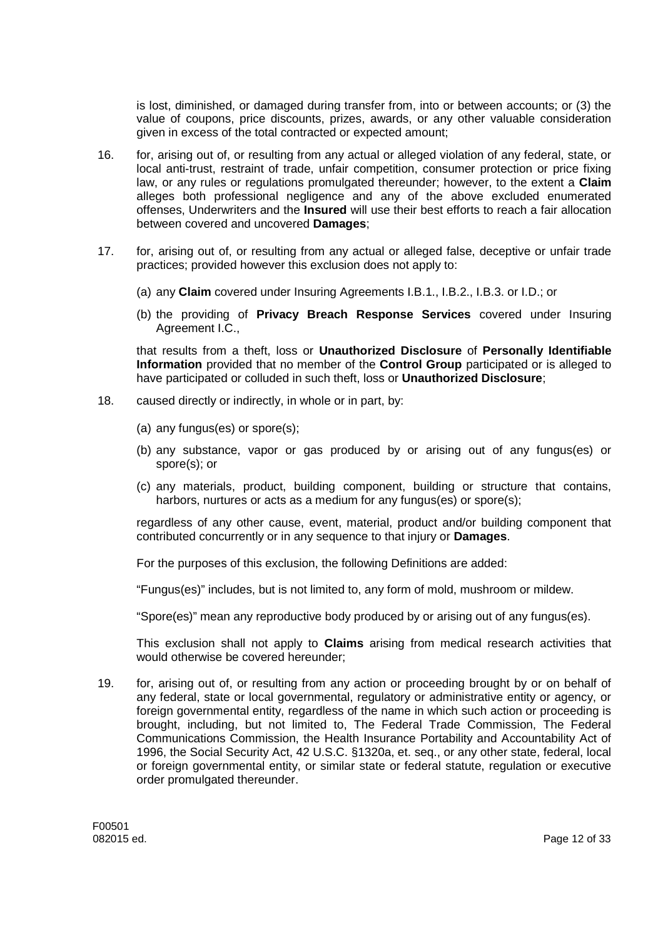is lost, diminished, or damaged during transfer from, into or between accounts; or (3) the value of coupons, price discounts, prizes, awards, or any other valuable consideration given in excess of the total contracted or expected amount;

- 16. for, arising out of, or resulting from any actual or alleged violation of any federal, state, or local anti-trust, restraint of trade, unfair competition, consumer protection or price fixing law, or any rules or regulations promulgated thereunder; however, to the extent a **Claim** alleges both professional negligence and any of the above excluded enumerated offenses, Underwriters and the **Insured** will use their best efforts to reach a fair allocation between covered and uncovered **Damages**;
- 17. for, arising out of, or resulting from any actual or alleged false, deceptive or unfair trade practices; provided however this exclusion does not apply to:
	- (a) any **Claim** covered under Insuring Agreements I.B.1., I.B.2., I.B.3. or I.D.; or
	- (b) the providing of **Privacy Breach Response Services** covered under Insuring Agreement I.C.,

that results from a theft, loss or **Unauthorized Disclosure** of **Personally Identifiable Information** provided that no member of the **Control Group** participated or is alleged to have participated or colluded in such theft, loss or **Unauthorized Disclosure**;

- 18. caused directly or indirectly, in whole or in part, by:
	- (a) any fungus(es) or spore(s);
	- (b) any substance, vapor or gas produced by or arising out of any fungus(es) or spore(s); or
	- (c) any materials, product, building component, building or structure that contains, harbors, nurtures or acts as a medium for any fungus(es) or spore(s);

regardless of any other cause, event, material, product and/or building component that contributed concurrently or in any sequence to that injury or **Damages**.

For the purposes of this exclusion, the following Definitions are added:

"Fungus(es)" includes, but is not limited to, any form of mold, mushroom or mildew.

"Spore(es)" mean any reproductive body produced by or arising out of any fungus(es).

This exclusion shall not apply to **Claims** arising from medical research activities that would otherwise be covered hereunder;

19. for, arising out of, or resulting from any action or proceeding brought by or on behalf of any federal, state or local governmental, regulatory or administrative entity or agency, or foreign governmental entity, regardless of the name in which such action or proceeding is brought, including, but not limited to, The Federal Trade Commission, The Federal Communications Commission, the Health Insurance Portability and Accountability Act of 1996, the Social Security Act, 42 U.S.C. §1320a, et. seq., or any other state, federal, local or foreign governmental entity, or similar state or federal statute, regulation or executive order promulgated thereunder.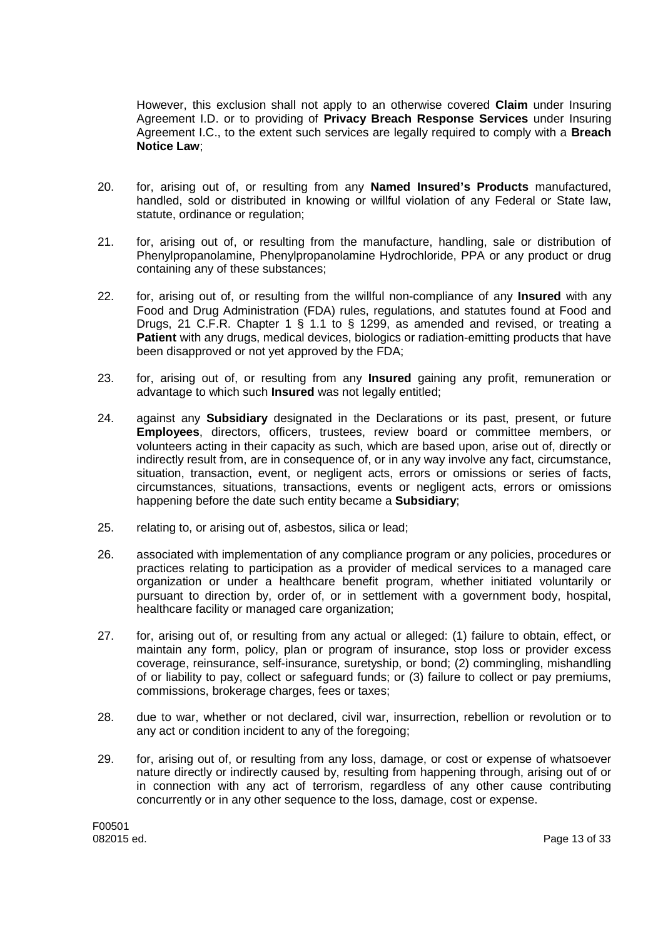However, this exclusion shall not apply to an otherwise covered **Claim** under Insuring Agreement I.D. or to providing of **Privacy Breach Response Services** under Insuring Agreement I.C., to the extent such services are legally required to comply with a **Breach Notice Law**;

- 20. for, arising out of, or resulting from any **Named Insured's Products** manufactured, handled, sold or distributed in knowing or willful violation of any Federal or State law, statute, ordinance or regulation;
- 21. for, arising out of, or resulting from the manufacture, handling, sale or distribution of Phenylpropanolamine, Phenylpropanolamine Hydrochloride, PPA or any product or drug containing any of these substances;
- 22. for, arising out of, or resulting from the willful non-compliance of any **Insured** with any Food and Drug Administration (FDA) rules, regulations, and statutes found at Food and Drugs, 21 C.F.R. Chapter 1 § 1.1 to § 1299, as amended and revised, or treating a **Patient** with any drugs, medical devices, biologics or radiation-emitting products that have been disapproved or not yet approved by the FDA;
- 23. for, arising out of, or resulting from any **Insured** gaining any profit, remuneration or advantage to which such **Insured** was not legally entitled;
- 24. against any **Subsidiary** designated in the Declarations or its past, present, or future **Employees**, directors, officers, trustees, review board or committee members, or volunteers acting in their capacity as such, which are based upon, arise out of, directly or indirectly result from, are in consequence of, or in any way involve any fact, circumstance, situation, transaction, event, or negligent acts, errors or omissions or series of facts, circumstances, situations, transactions, events or negligent acts, errors or omissions happening before the date such entity became a **Subsidiary**;
- 25. relating to, or arising out of, asbestos, silica or lead;
- 26. associated with implementation of any compliance program or any policies, procedures or practices relating to participation as a provider of medical services to a managed care organization or under a healthcare benefit program, whether initiated voluntarily or pursuant to direction by, order of, or in settlement with a government body, hospital, healthcare facility or managed care organization:
- 27. for, arising out of, or resulting from any actual or alleged: (1) failure to obtain, effect, or maintain any form, policy, plan or program of insurance, stop loss or provider excess coverage, reinsurance, self-insurance, suretyship, or bond; (2) commingling, mishandling of or liability to pay, collect or safeguard funds; or (3) failure to collect or pay premiums, commissions, brokerage charges, fees or taxes;
- 28. due to war, whether or not declared, civil war, insurrection, rebellion or revolution or to any act or condition incident to any of the foregoing;
- 29. for, arising out of, or resulting from any loss, damage, or cost or expense of whatsoever nature directly or indirectly caused by, resulting from happening through, arising out of or in connection with any act of terrorism, regardless of any other cause contributing concurrently or in any other sequence to the loss, damage, cost or expense.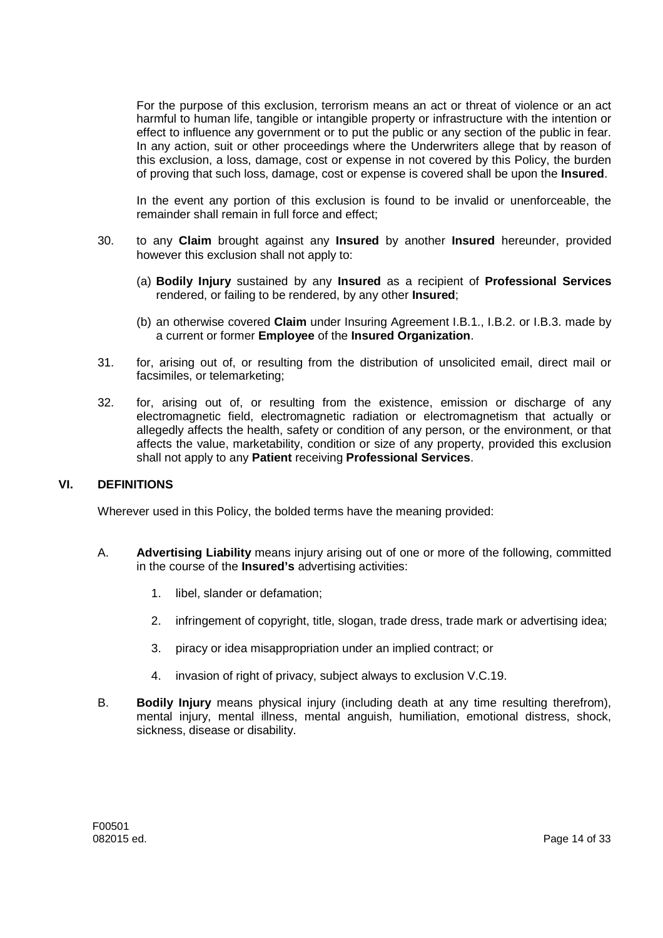For the purpose of this exclusion, terrorism means an act or threat of violence or an act harmful to human life, tangible or intangible property or infrastructure with the intention or effect to influence any government or to put the public or any section of the public in fear. In any action, suit or other proceedings where the Underwriters allege that by reason of this exclusion, a loss, damage, cost or expense in not covered by this Policy, the burden of proving that such loss, damage, cost or expense is covered shall be upon the **Insured**.

In the event any portion of this exclusion is found to be invalid or unenforceable, the remainder shall remain in full force and effect;

- 30. to any **Claim** brought against any **Insured** by another **Insured** hereunder, provided however this exclusion shall not apply to:
	- (a) **Bodily Injury** sustained by any **Insured** as a recipient of **Professional Services** rendered, or failing to be rendered, by any other **Insured**;
	- (b) an otherwise covered **Claim** under Insuring Agreement I.B.1., I.B.2. or I.B.3. made by a current or former **Employee** of the **Insured Organization**.
- 31. for, arising out of, or resulting from the distribution of unsolicited email, direct mail or facsimiles, or telemarketing;
- 32. for, arising out of, or resulting from the existence, emission or discharge of any electromagnetic field, electromagnetic radiation or electromagnetism that actually or allegedly affects the health, safety or condition of any person, or the environment, or that affects the value, marketability, condition or size of any property, provided this exclusion shall not apply to any **Patient** receiving **Professional Services**.

### **VI. DEFINITIONS**

Wherever used in this Policy, the bolded terms have the meaning provided:

- A. **Advertising Liability** means injury arising out of one or more of the following, committed in the course of the **Insured's** advertising activities:
	- 1. libel, slander or defamation;
	- 2. infringement of copyright, title, slogan, trade dress, trade mark or advertising idea;
	- 3. piracy or idea misappropriation under an implied contract; or
	- 4. invasion of right of privacy, subject always to exclusion V.C.19.
- B. **Bodily Injury** means physical injury (including death at any time resulting therefrom), mental injury, mental illness, mental anguish, humiliation, emotional distress, shock, sickness, disease or disability.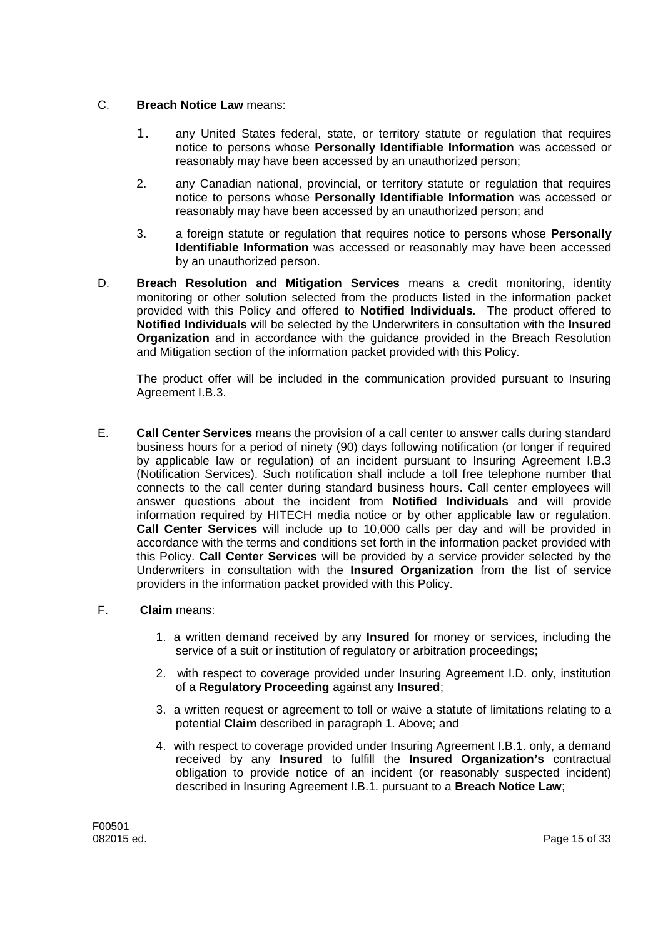## C. **Breach Notice Law** means:

- 1. any United States federal, state, or territory statute or regulation that requires notice to persons whose **Personally Identifiable Information** was accessed or reasonably may have been accessed by an unauthorized person;
- 2. any Canadian national, provincial, or territory statute or regulation that requires notice to persons whose **Personally Identifiable Information** was accessed or reasonably may have been accessed by an unauthorized person; and
- 3. a foreign statute or regulation that requires notice to persons whose **Personally Identifiable Information** was accessed or reasonably may have been accessed by an unauthorized person.
- D. **Breach Resolution and Mitigation Services** means a credit monitoring, identity monitoring or other solution selected from the products listed in the information packet provided with this Policy and offered to **Notified Individuals**. The product offered to **Notified Individuals** will be selected by the Underwriters in consultation with the **Insured Organization** and in accordance with the guidance provided in the Breach Resolution and Mitigation section of the information packet provided with this Policy.

The product offer will be included in the communication provided pursuant to Insuring Agreement I.B.3.

E. **Call Center Services** means the provision of a call center to answer calls during standard business hours for a period of ninety (90) days following notification (or longer if required by applicable law or regulation) of an incident pursuant to Insuring Agreement I.B.3 (Notification Services). Such notification shall include a toll free telephone number that connects to the call center during standard business hours. Call center employees will answer questions about the incident from **Notified Individuals** and will provide information required by HITECH media notice or by other applicable law or regulation. **Call Center Services** will include up to 10,000 calls per day and will be provided in accordance with the terms and conditions set forth in the information packet provided with this Policy. **Call Center Services** will be provided by a service provider selected by the Underwriters in consultation with the **Insured Organization** from the list of service providers in the information packet provided with this Policy.

## F. **Claim** means:

- 1. a written demand received by any **Insured** for money or services, including the service of a suit or institution of regulatory or arbitration proceedings;
- 2. with respect to coverage provided under Insuring Agreement I.D. only, institution of a **Regulatory Proceeding** against any **Insured**;
- 3. a written request or agreement to toll or waive a statute of limitations relating to a potential **Claim** described in paragraph 1. Above; and
- 4. with respect to coverage provided under Insuring Agreement I.B.1. only, a demand received by any **Insured** to fulfill the **Insured Organization's** contractual obligation to provide notice of an incident (or reasonably suspected incident) described in Insuring Agreement I.B.1. pursuant to a **Breach Notice Law**;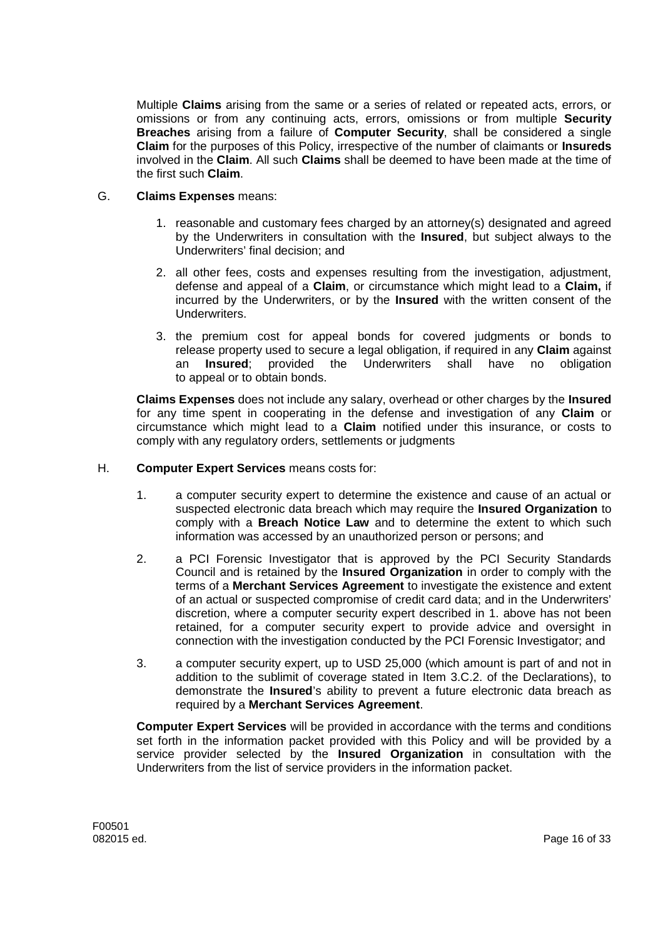Multiple **Claims** arising from the same or a series of related or repeated acts, errors, or omissions or from any continuing acts, errors, omissions or from multiple **Security Breaches** arising from a failure of **Computer Security**, shall be considered a single **Claim** for the purposes of this Policy, irrespective of the number of claimants or **Insureds** involved in the **Claim**. All such **Claims** shall be deemed to have been made at the time of the first such **Claim**.

### G. **Claims Expenses** means:

- 1. reasonable and customary fees charged by an attorney(s) designated and agreed by the Underwriters in consultation with the **Insured**, but subject always to the Underwriters' final decision; and
- 2. all other fees, costs and expenses resulting from the investigation, adjustment, defense and appeal of a **Claim**, or circumstance which might lead to a **Claim,** if incurred by the Underwriters, or by the **Insured** with the written consent of the **Underwriters**
- 3. the premium cost for appeal bonds for covered judgments or bonds to release property used to secure a legal obligation, if required in any **Claim** against an **Insured**; provided the Underwriters shall have no obligation to appeal or to obtain bonds.

**Claims Expenses** does not include any salary, overhead or other charges by the **Insured** for any time spent in cooperating in the defense and investigation of any **Claim** or circumstance which might lead to a **Claim** notified under this insurance, or costs to comply with any regulatory orders, settlements or judgments

## H. **Computer Expert Services** means costs for:

- 1. a computer security expert to determine the existence and cause of an actual or suspected electronic data breach which may require the **Insured Organization** to comply with a **Breach Notice Law** and to determine the extent to which such information was accessed by an unauthorized person or persons; and
- 2. a PCI Forensic Investigator that is approved by the PCI Security Standards Council and is retained by the **Insured Organization** in order to comply with the terms of a **Merchant Services Agreement** to investigate the existence and extent of an actual or suspected compromise of credit card data; and in the Underwriters' discretion, where a computer security expert described in 1. above has not been retained, for a computer security expert to provide advice and oversight in connection with the investigation conducted by the PCI Forensic Investigator; and
- 3. a computer security expert, up to USD 25,000 (which amount is part of and not in addition to the sublimit of coverage stated in Item 3.C.2. of the Declarations), to demonstrate the **Insured**'s ability to prevent a future electronic data breach as required by a **Merchant Services Agreement**.

**Computer Expert Services** will be provided in accordance with the terms and conditions set forth in the information packet provided with this Policy and will be provided by a service provider selected by the **Insured Organization** in consultation with the Underwriters from the list of service providers in the information packet.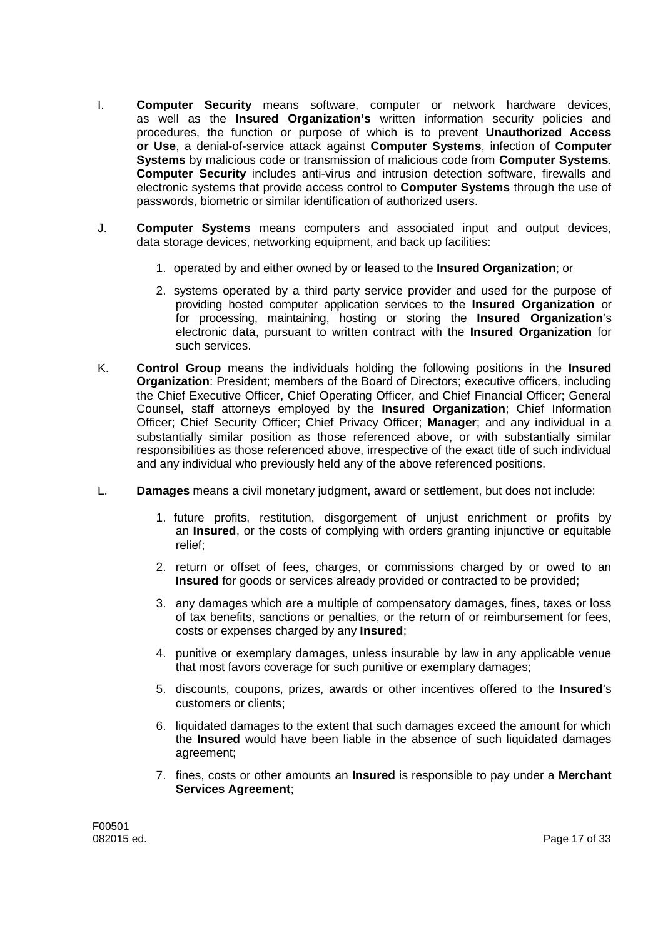- I. **Computer Security** means software, computer or network hardware devices, as well as the **Insured Organization's** written information security policies and procedures, the function or purpose of which is to prevent **Unauthorized Access or Use**, a denial-of-service attack against **Computer Systems**, infection of **Computer Systems** by malicious code or transmission of malicious code from **Computer Systems**. **Computer Security** includes anti-virus and intrusion detection software, firewalls and electronic systems that provide access control to **Computer Systems** through the use of passwords, biometric or similar identification of authorized users.
- J. **Computer Systems** means computers and associated input and output devices, data storage devices, networking equipment, and back up facilities:
	- 1. operated by and either owned by or leased to the **Insured Organization**; or
	- 2. systems operated by a third party service provider and used for the purpose of providing hosted computer application services to the **Insured Organization** or for processing, maintaining, hosting or storing the **Insured Organization**'s electronic data, pursuant to written contract with the **Insured Organization** for such services.
- K. **Control Group** means the individuals holding the following positions in the **Insured Organization**: President; members of the Board of Directors; executive officers, including the Chief Executive Officer, Chief Operating Officer, and Chief Financial Officer; General Counsel, staff attorneys employed by the **Insured Organization**; Chief Information Officer; Chief Security Officer; Chief Privacy Officer; **Manager**; and any individual in a substantially similar position as those referenced above, or with substantially similar responsibilities as those referenced above, irrespective of the exact title of such individual and any individual who previously held any of the above referenced positions.
- L. **Damages** means a civil monetary judgment, award or settlement, but does not include:
	- 1. future profits, restitution, disgorgement of unjust enrichment or profits by an **Insured**, or the costs of complying with orders granting injunctive or equitable relief;
	- 2. return or offset of fees, charges, or commissions charged by or owed to an **Insured** for goods or services already provided or contracted to be provided;
	- 3. any damages which are a multiple of compensatory damages, fines, taxes or loss of tax benefits, sanctions or penalties, or the return of or reimbursement for fees, costs or expenses charged by any **Insured**;
	- 4. punitive or exemplary damages, unless insurable by law in any applicable venue that most favors coverage for such punitive or exemplary damages;
	- 5. discounts, coupons, prizes, awards or other incentives offered to the **Insured**'s customers or clients;
	- 6. liquidated damages to the extent that such damages exceed the amount for which the **Insured** would have been liable in the absence of such liquidated damages agreement;
	- 7. fines, costs or other amounts an **Insured** is responsible to pay under a **Merchant Services Agreement**;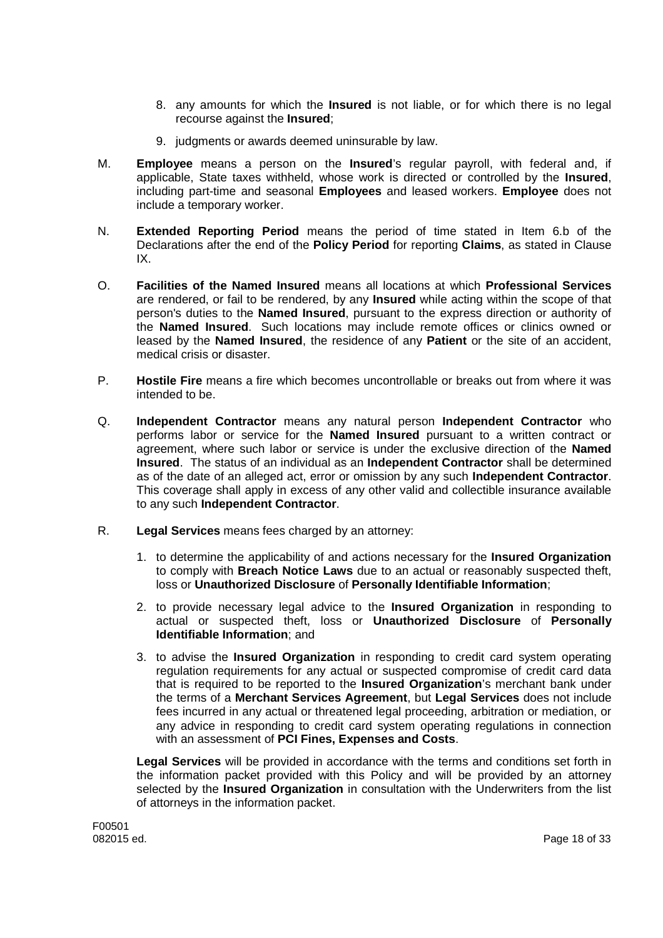- 8. any amounts for which the **Insured** is not liable, or for which there is no legal recourse against the **Insured**;
- 9. judgments or awards deemed uninsurable by law.
- M. **Employee** means a person on the **Insured**'s regular payroll, with federal and, if applicable, State taxes withheld, whose work is directed or controlled by the **Insured**, including part-time and seasonal **Employees** and leased workers. **Employee** does not include a temporary worker.
- N. **Extended Reporting Period** means the period of time stated in Item 6.b of the Declarations after the end of the **Policy Period** for reporting **Claims**, as stated in Clause IX.
- O. **Facilities of the Named Insured** means all locations at which **Professional Services** are rendered, or fail to be rendered, by any **Insured** while acting within the scope of that person's duties to the **Named Insured**, pursuant to the express direction or authority of the **Named Insured**. Such locations may include remote offices or clinics owned or leased by the **Named Insured**, the residence of any **Patient** or the site of an accident, medical crisis or disaster.
- P. **Hostile Fire** means a fire which becomes uncontrollable or breaks out from where it was intended to be.
- Q. **Independent Contractor** means any natural person **Independent Contractor** who performs labor or service for the **Named Insured** pursuant to a written contract or agreement, where such labor or service is under the exclusive direction of the **Named Insured**. The status of an individual as an **Independent Contractor** shall be determined as of the date of an alleged act, error or omission by any such **Independent Contractor**. This coverage shall apply in excess of any other valid and collectible insurance available to any such **Independent Contractor**.
- R. **Legal Services** means fees charged by an attorney:
	- 1. to determine the applicability of and actions necessary for the **Insured Organization** to comply with **Breach Notice Laws** due to an actual or reasonably suspected theft, loss or **Unauthorized Disclosure** of **Personally Identifiable Information**;
	- 2. to provide necessary legal advice to the **Insured Organization** in responding to actual or suspected theft, loss or **Unauthorized Disclosure** of **Personally Identifiable Information**; and
	- 3. to advise the **Insured Organization** in responding to credit card system operating regulation requirements for any actual or suspected compromise of credit card data that is required to be reported to the **Insured Organization**'s merchant bank under the terms of a **Merchant Services Agreement**, but **Legal Services** does not include fees incurred in any actual or threatened legal proceeding, arbitration or mediation, or any advice in responding to credit card system operating regulations in connection with an assessment of **PCI Fines, Expenses and Costs**.

**Legal Services** will be provided in accordance with the terms and conditions set forth in the information packet provided with this Policy and will be provided by an attorney selected by the **Insured Organization** in consultation with the Underwriters from the list of attorneys in the information packet.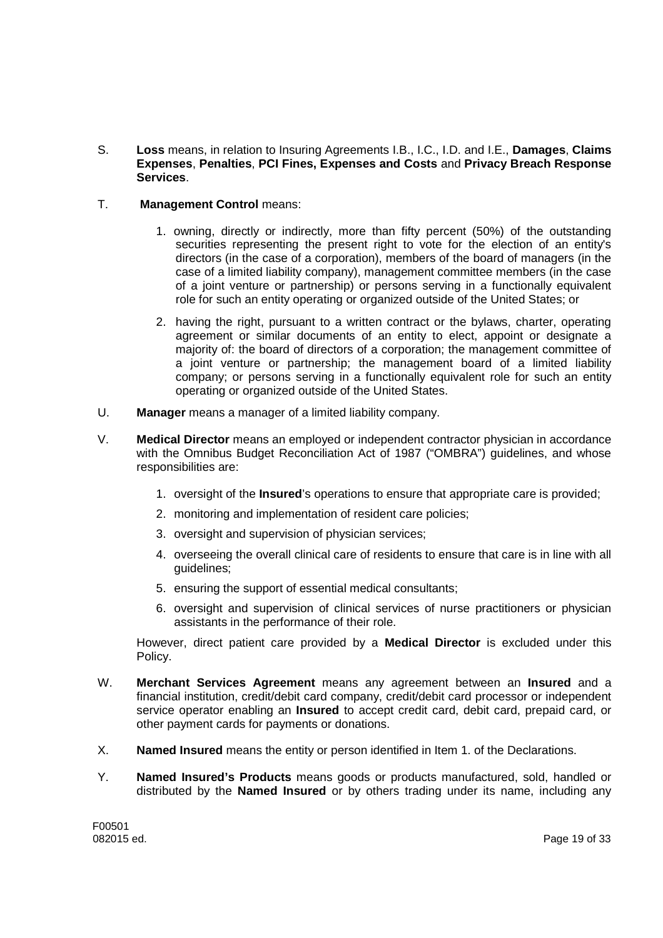- S. **Loss** means, in relation to Insuring Agreements I.B., I.C., I.D. and I.E., **Damages**, **Claims Expenses**, **Penalties**, **PCI Fines, Expenses and Costs** and **Privacy Breach Response Services**.
- T. **Management Control** means:
	- 1. owning, directly or indirectly, more than fifty percent (50%) of the outstanding securities representing the present right to vote for the election of an entity's directors (in the case of a corporation), members of the board of managers (in the case of a limited liability company), management committee members (in the case of a joint venture or partnership) or persons serving in a functionally equivalent role for such an entity operating or organized outside of the United States; or
	- 2. having the right, pursuant to a written contract or the bylaws, charter, operating agreement or similar documents of an entity to elect, appoint or designate a majority of: the board of directors of a corporation; the management committee of a joint venture or partnership; the management board of a limited liability company; or persons serving in a functionally equivalent role for such an entity operating or organized outside of the United States.
- U. **Manager** means a manager of a limited liability company.
- V. **Medical Director** means an employed or independent contractor physician in accordance with the Omnibus Budget Reconciliation Act of 1987 ("OMBRA") guidelines, and whose responsibilities are:
	- 1. oversight of the **Insured**'s operations to ensure that appropriate care is provided;
	- 2. monitoring and implementation of resident care policies;
	- 3. oversight and supervision of physician services;
	- 4. overseeing the overall clinical care of residents to ensure that care is in line with all guidelines;
	- 5. ensuring the support of essential medical consultants;
	- 6. oversight and supervision of clinical services of nurse practitioners or physician assistants in the performance of their role.

However, direct patient care provided by a **Medical Director** is excluded under this Policy.

- W. **Merchant Services Agreement** means any agreement between an **Insured** and a financial institution, credit/debit card company, credit/debit card processor or independent service operator enabling an **Insured** to accept credit card, debit card, prepaid card, or other payment cards for payments or donations.
- X. **Named Insured** means the entity or person identified in Item 1. of the Declarations.
- Y. **Named Insured's Products** means goods or products manufactured, sold, handled or distributed by the **Named Insured** or by others trading under its name, including any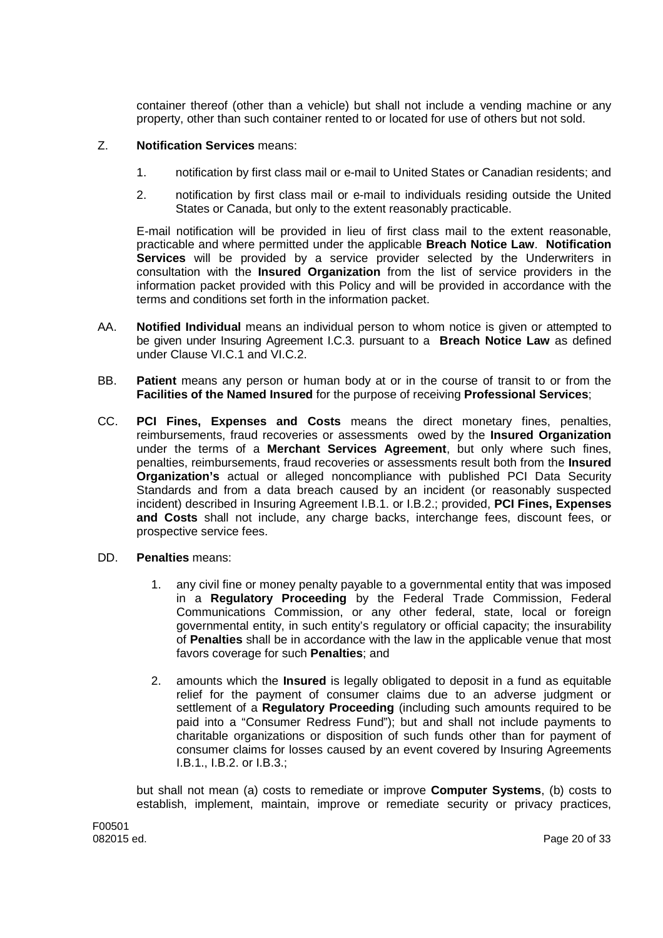container thereof (other than a vehicle) but shall not include a vending machine or any property, other than such container rented to or located for use of others but not sold.

## Z. **Notification Services** means:

- 1. notification by first class mail or e-mail to United States or Canadian residents; and
- 2. notification by first class mail or e-mail to individuals residing outside the United States or Canada, but only to the extent reasonably practicable.

E-mail notification will be provided in lieu of first class mail to the extent reasonable, practicable and where permitted under the applicable **Breach Notice Law**. **Notification Services** will be provided by a service provider selected by the Underwriters in consultation with the **Insured Organization** from the list of service providers in the information packet provided with this Policy and will be provided in accordance with the terms and conditions set forth in the information packet.

- AA. **Notified Individual** means an individual person to whom notice is given or attempted to be given under Insuring Agreement I.C.3. pursuant to a **Breach Notice Law** as defined under Clause VI.C.1 and VI.C.2.
- BB. **Patient** means any person or human body at or in the course of transit to or from the **Facilities of the Named Insured** for the purpose of receiving **Professional Services**;
- CC. **PCI Fines, Expenses and Costs** means the direct monetary fines, penalties, reimbursements, fraud recoveries or assessments owed by the **Insured Organization** under the terms of a **Merchant Services Agreement**, but only where such fines, penalties, reimbursements, fraud recoveries or assessments result both from the **Insured Organization's** actual or alleged noncompliance with published PCI Data Security Standards and from a data breach caused by an incident (or reasonably suspected incident) described in Insuring Agreement I.B.1. or I.B.2.; provided, **PCI Fines, Expenses and Costs** shall not include, any charge backs, interchange fees, discount fees, or prospective service fees.
- DD. **Penalties** means:
	- 1. any civil fine or money penalty payable to a governmental entity that was imposed in a **Regulatory Proceeding** by the Federal Trade Commission, Federal Communications Commission, or any other federal, state, local or foreign governmental entity, in such entity's regulatory or official capacity; the insurability of **Penalties** shall be in accordance with the law in the applicable venue that most favors coverage for such **Penalties**; and
	- 2. amounts which the **Insured** is legally obligated to deposit in a fund as equitable relief for the payment of consumer claims due to an adverse judgment or settlement of a **Regulatory Proceeding** (including such amounts required to be paid into a "Consumer Redress Fund"); but and shall not include payments to charitable organizations or disposition of such funds other than for payment of consumer claims for losses caused by an event covered by Insuring Agreements I.B.1., I.B.2. or I.B.3.;

but shall not mean (a) costs to remediate or improve **Computer Systems**, (b) costs to establish, implement, maintain, improve or remediate security or privacy practices,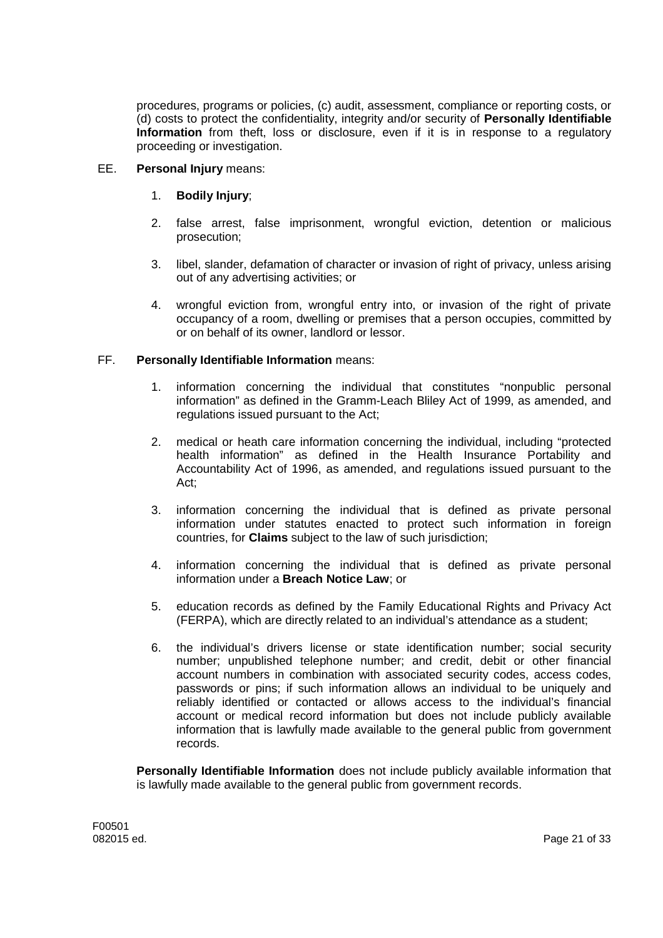procedures, programs or policies, (c) audit, assessment, compliance or reporting costs, or (d) costs to protect the confidentiality, integrity and/or security of **Personally Identifiable Information** from theft, loss or disclosure, even if it is in response to a regulatory proceeding or investigation.

### EE. **Personal Injury** means:

## 1. **Bodily Injury**;

- 2. false arrest, false imprisonment, wrongful eviction, detention or malicious prosecution;
- 3. libel, slander, defamation of character or invasion of right of privacy, unless arising out of any advertising activities; or
- 4. wrongful eviction from, wrongful entry into, or invasion of the right of private occupancy of a room, dwelling or premises that a person occupies, committed by or on behalf of its owner, landlord or lessor.

## FF. **Personally Identifiable Information** means:

- 1. information concerning the individual that constitutes "nonpublic personal information" as defined in the Gramm-Leach Bliley Act of 1999, as amended, and regulations issued pursuant to the Act;
- 2. medical or heath care information concerning the individual, including "protected health information" as defined in the Health Insurance Portability and Accountability Act of 1996, as amended, and regulations issued pursuant to the Act;
- 3. information concerning the individual that is defined as private personal information under statutes enacted to protect such information in foreign countries, for **Claims** subject to the law of such jurisdiction;
- 4. information concerning the individual that is defined as private personal information under a **Breach Notice Law**; or
- 5. education records as defined by the Family Educational Rights and Privacy Act (FERPA), which are directly related to an individual's attendance as a student;
- 6. the individual's drivers license or state identification number; social security number; unpublished telephone number; and credit, debit or other financial account numbers in combination with associated security codes, access codes, passwords or pins; if such information allows an individual to be uniquely and reliably identified or contacted or allows access to the individual's financial account or medical record information but does not include publicly available information that is lawfully made available to the general public from government records.

**Personally Identifiable Information** does not include publicly available information that is lawfully made available to the general public from government records.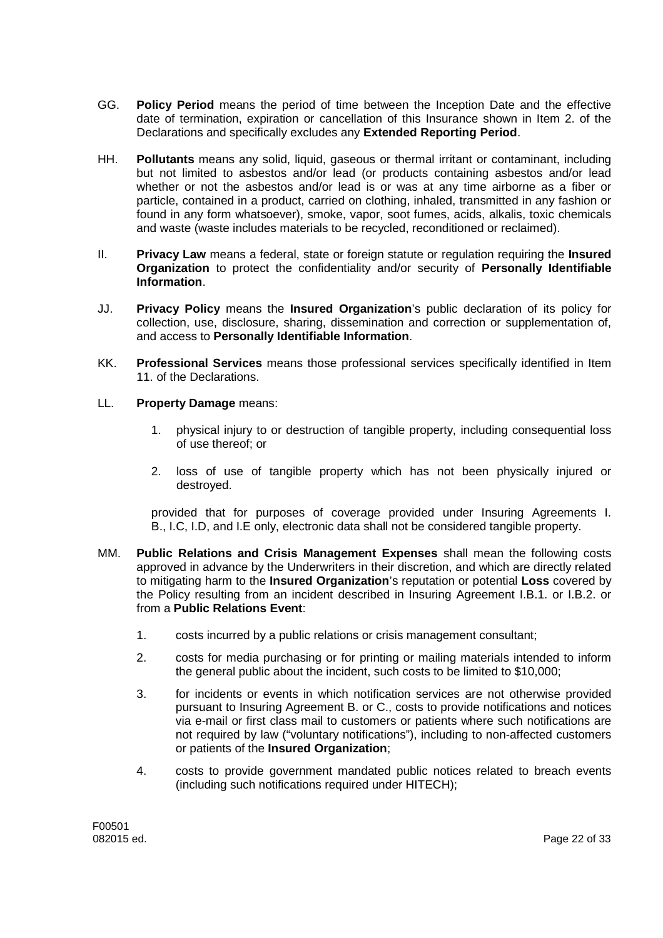- GG. **Policy Period** means the period of time between the Inception Date and the effective date of termination, expiration or cancellation of this Insurance shown in Item 2. of the Declarations and specifically excludes any **Extended Reporting Period**.
- HH. **Pollutants** means any solid, liquid, gaseous or thermal irritant or contaminant, including but not limited to asbestos and/or lead (or products containing asbestos and/or lead whether or not the asbestos and/or lead is or was at any time airborne as a fiber or particle, contained in a product, carried on clothing, inhaled, transmitted in any fashion or found in any form whatsoever), smoke, vapor, soot fumes, acids, alkalis, toxic chemicals and waste (waste includes materials to be recycled, reconditioned or reclaimed).
- II. **Privacy Law** means a federal, state or foreign statute or regulation requiring the **Insured Organization** to protect the confidentiality and/or security of **Personally Identifiable Information**.
- JJ. **Privacy Policy** means the **Insured Organization**'s public declaration of its policy for collection, use, disclosure, sharing, dissemination and correction or supplementation of, and access to **Personally Identifiable Information**.
- KK. **Professional Services** means those professional services specifically identified in Item 11. of the Declarations.
- LL. **Property Damage** means:
	- 1. physical injury to or destruction of tangible property, including consequential loss of use thereof; or
	- 2. loss of use of tangible property which has not been physically injured or destroyed.

provided that for purposes of coverage provided under Insuring Agreements I. B., I.C, I.D, and I.E only, electronic data shall not be considered tangible property.

- MM. **Public Relations and Crisis Management Expenses** shall mean the following costs approved in advance by the Underwriters in their discretion, and which are directly related to mitigating harm to the **Insured Organization**'s reputation or potential **Loss** covered by the Policy resulting from an incident described in Insuring Agreement I.B.1. or I.B.2. or from a **Public Relations Event**:
	- 1. costs incurred by a public relations or crisis management consultant;
	- 2. costs for media purchasing or for printing or mailing materials intended to inform the general public about the incident, such costs to be limited to \$10,000;
	- 3. for incidents or events in which notification services are not otherwise provided pursuant to Insuring Agreement B. or C., costs to provide notifications and notices via e-mail or first class mail to customers or patients where such notifications are not required by law ("voluntary notifications"), including to non-affected customers or patients of the **Insured Organization**;
	- 4. costs to provide government mandated public notices related to breach events (including such notifications required under HITECH);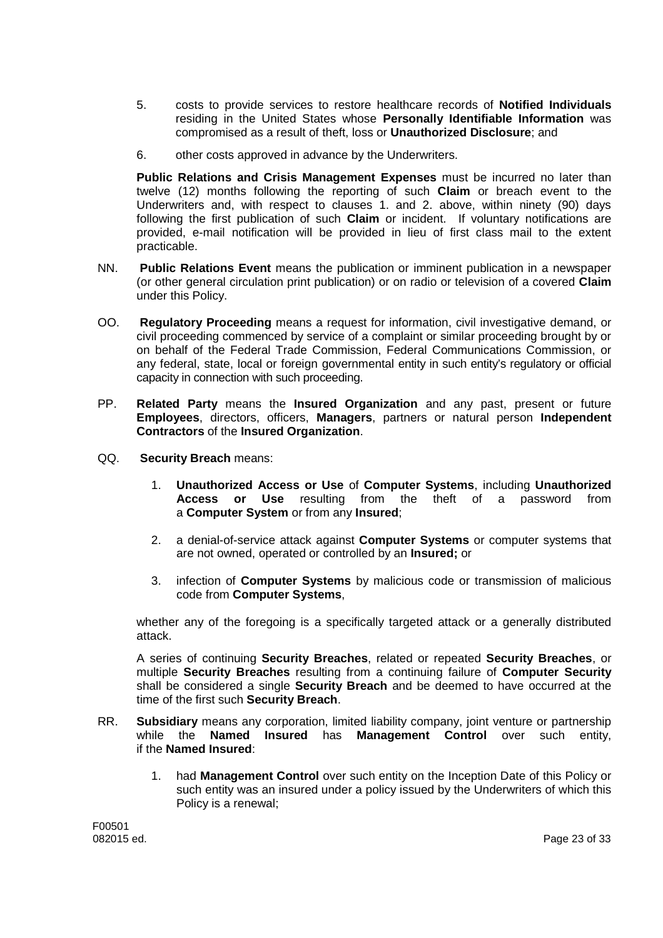- 5. costs to provide services to restore healthcare records of **Notified Individuals** residing in the United States whose **Personally Identifiable Information** was compromised as a result of theft, loss or **Unauthorized Disclosure**; and
- 6. other costs approved in advance by the Underwriters.

**Public Relations and Crisis Management Expenses** must be incurred no later than twelve (12) months following the reporting of such **Claim** or breach event to the Underwriters and, with respect to clauses 1. and 2. above, within ninety (90) days following the first publication of such **Claim** or incident. If voluntary notifications are provided, e-mail notification will be provided in lieu of first class mail to the extent practicable.

- NN. **Public Relations Event** means the publication or imminent publication in a newspaper (or other general circulation print publication) or on radio or television of a covered **Claim** under this Policy.
- OO. **Regulatory Proceeding** means a request for information, civil investigative demand, or civil proceeding commenced by service of a complaint or similar proceeding brought by or on behalf of the Federal Trade Commission, Federal Communications Commission, or any federal, state, local or foreign governmental entity in such entity's regulatory or official capacity in connection with such proceeding.
- PP. **Related Party** means the **Insured Organization** and any past, present or future **Employees**, directors, officers, **Managers**, partners or natural person **Independent Contractors** of the **Insured Organization**.
- QQ. **Security Breach** means:
	- 1. **Unauthorized Access or Use** of **Computer Systems**, including **Unauthorized Access or Use** resulting from the theft of a password from a **Computer System** or from any **Insured**;
	- 2. a denial-of-service attack against **Computer Systems** or computer systems that are not owned, operated or controlled by an **Insured;** or
	- 3. infection of **Computer Systems** by malicious code or transmission of malicious code from **Computer Systems**,

whether any of the foregoing is a specifically targeted attack or a generally distributed attack.

A series of continuing **Security Breaches**, related or repeated **Security Breaches**, or multiple **Security Breaches** resulting from a continuing failure of **Computer Security** shall be considered a single **Security Breach** and be deemed to have occurred at the time of the first such **Security Breach**.

- RR. **Subsidiary** means any corporation, limited liability company, joint venture or partnership while the **Named Insured** has **Management Control** over such entity, if the **Named Insured**:
	- 1. had **Management Control** over such entity on the Inception Date of this Policy or such entity was an insured under a policy issued by the Underwriters of which this Policy is a renewal;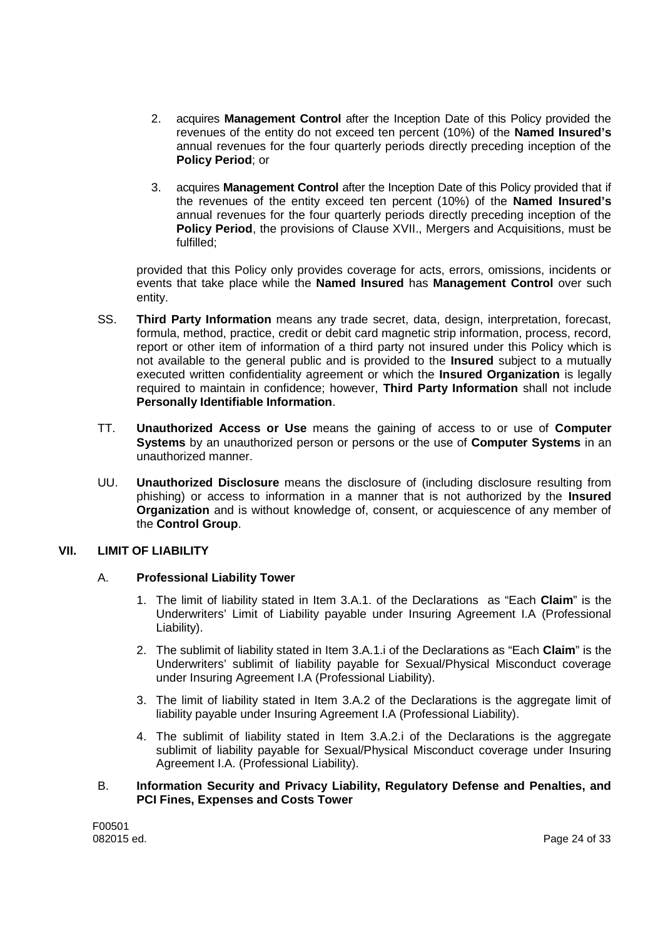- 2. acquires **Management Control** after the Inception Date of this Policy provided the revenues of the entity do not exceed ten percent (10%) of the **Named Insured's** annual revenues for the four quarterly periods directly preceding inception of the **Policy Period**; or
- 3. acquires **Management Control** after the Inception Date of this Policy provided that if the revenues of the entity exceed ten percent (10%) of the **Named Insured's** annual revenues for the four quarterly periods directly preceding inception of the **Policy Period**, the provisions of Clause XVII., Mergers and Acquisitions, must be fulfilled;

provided that this Policy only provides coverage for acts, errors, omissions, incidents or events that take place while the **Named Insured** has **Management Control** over such entity.

- SS. **Third Party Information** means any trade secret, data, design, interpretation, forecast, formula, method, practice, credit or debit card magnetic strip information, process, record, report or other item of information of a third party not insured under this Policy which is not available to the general public and is provided to the **Insured** subject to a mutually executed written confidentiality agreement or which the **Insured Organization** is legally required to maintain in confidence; however, **Third Party Information** shall not include **Personally Identifiable Information**.
- TT. **Unauthorized Access or Use** means the gaining of access to or use of **Computer Systems** by an unauthorized person or persons or the use of **Computer Systems** in an unauthorized manner.
- UU. **Unauthorized Disclosure** means the disclosure of (including disclosure resulting from phishing) or access to information in a manner that is not authorized by the **Insured Organization** and is without knowledge of, consent, or acquiescence of any member of the **Control Group**.

## **VII. LIMIT OF LIABILITY**

## A. **Professional Liability Tower**

- 1. The limit of liability stated in Item 3.A.1. of the Declarations as "Each **Claim**" is the Underwriters' Limit of Liability payable under Insuring Agreement I.A (Professional Liability).
- 2. The sublimit of liability stated in Item 3.A.1.i of the Declarations as "Each **Claim**" is the Underwriters' sublimit of liability payable for Sexual/Physical Misconduct coverage under Insuring Agreement I.A (Professional Liability).
- 3. The limit of liability stated in Item 3.A.2 of the Declarations is the aggregate limit of liability payable under Insuring Agreement I.A (Professional Liability).
- 4. The sublimit of liability stated in Item 3.A.2.i of the Declarations is the aggregate sublimit of liability payable for Sexual/Physical Misconduct coverage under Insuring Agreement I.A. (Professional Liability).

### B. **Information Security and Privacy Liability, Regulatory Defense and Penalties, and PCI Fines, Expenses and Costs Tower**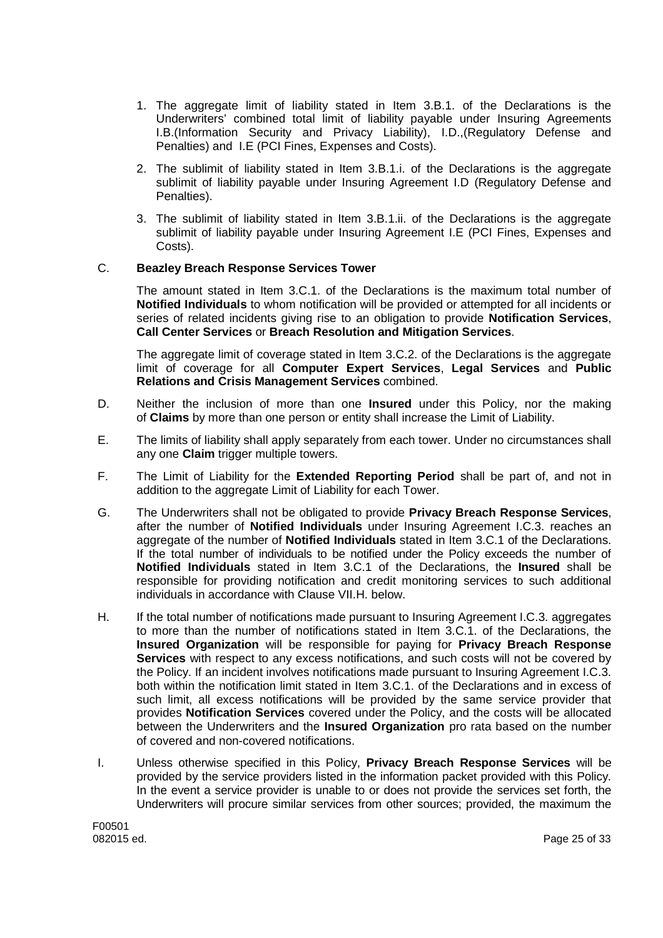- 1. The aggregate limit of liability stated in Item 3.B.1. of the Declarations is the Underwriters' combined total limit of liability payable under Insuring Agreements I.B.(Information Security and Privacy Liability), I.D.,(Regulatory Defense and Penalties) and I.E (PCI Fines, Expenses and Costs).
- 2. The sublimit of liability stated in Item 3.B.1.i. of the Declarations is the aggregate sublimit of liability payable under Insuring Agreement I.D (Regulatory Defense and Penalties).
- 3. The sublimit of liability stated in Item 3.B.1.ii. of the Declarations is the aggregate sublimit of liability payable under Insuring Agreement I.E (PCI Fines, Expenses and Costs).

## C. **Beazley Breach Response Services Tower**

The amount stated in Item 3.C.1. of the Declarations is the maximum total number of **Notified Individuals** to whom notification will be provided or attempted for all incidents or series of related incidents giving rise to an obligation to provide **Notification Services**, **Call Center Services** or **Breach Resolution and Mitigation Services**.

The aggregate limit of coverage stated in Item 3.C.2. of the Declarations is the aggregate limit of coverage for all **Computer Expert Services**, **Legal Services** and **Public Relations and Crisis Management Services** combined.

- D. Neither the inclusion of more than one **Insured** under this Policy, nor the making of **Claims** by more than one person or entity shall increase the Limit of Liability.
- E. The limits of liability shall apply separately from each tower. Under no circumstances shall any one **Claim** trigger multiple towers.
- F. The Limit of Liability for the **Extended Reporting Period** shall be part of, and not in addition to the aggregate Limit of Liability for each Tower.
- G. The Underwriters shall not be obligated to provide **Privacy Breach Response Services**, after the number of **Notified Individuals** under Insuring Agreement I.C.3. reaches an aggregate of the number of **Notified Individuals** stated in Item 3.C.1 of the Declarations. If the total number of individuals to be notified under the Policy exceeds the number of **Notified Individuals** stated in Item 3.C.1 of the Declarations, the **Insured** shall be responsible for providing notification and credit monitoring services to such additional individuals in accordance with Clause VII.H. below.
- H. If the total number of notifications made pursuant to Insuring Agreement I.C.3. aggregates to more than the number of notifications stated in Item 3.C.1. of the Declarations, the **Insured Organization** will be responsible for paying for **Privacy Breach Response Services** with respect to any excess notifications, and such costs will not be covered by the Policy. If an incident involves notifications made pursuant to Insuring Agreement I.C.3. both within the notification limit stated in Item 3.C.1. of the Declarations and in excess of such limit, all excess notifications will be provided by the same service provider that provides **Notification Services** covered under the Policy, and the costs will be allocated between the Underwriters and the **Insured Organization** pro rata based on the number of covered and non-covered notifications.
- I. Unless otherwise specified in this Policy, **Privacy Breach Response Services** will be provided by the service providers listed in the information packet provided with this Policy. In the event a service provider is unable to or does not provide the services set forth, the Underwriters will procure similar services from other sources; provided, the maximum the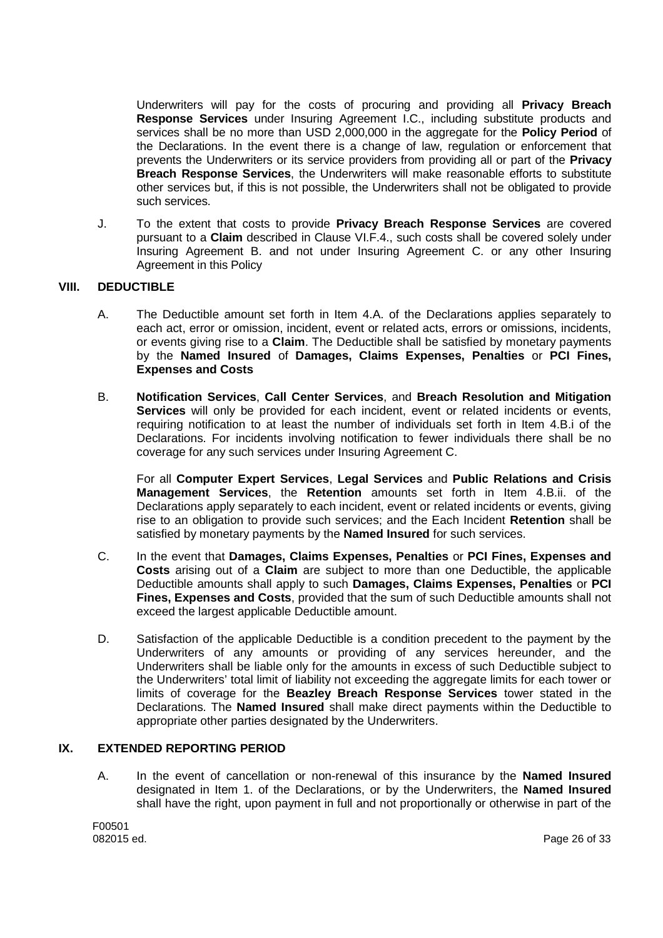Underwriters will pay for the costs of procuring and providing all **Privacy Breach Response Services** under Insuring Agreement I.C., including substitute products and services shall be no more than USD 2,000,000 in the aggregate for the **Policy Period** of the Declarations. In the event there is a change of law, regulation or enforcement that prevents the Underwriters or its service providers from providing all or part of the **Privacy Breach Response Services**, the Underwriters will make reasonable efforts to substitute other services but, if this is not possible, the Underwriters shall not be obligated to provide such services.

J. To the extent that costs to provide **Privacy Breach Response Services** are covered pursuant to a **Claim** described in Clause VI.F.4., such costs shall be covered solely under Insuring Agreement B. and not under Insuring Agreement C. or any other Insuring Agreement in this Policy

## **VIII. DEDUCTIBLE**

- A. The Deductible amount set forth in Item 4.A. of the Declarations applies separately to each act, error or omission, incident, event or related acts, errors or omissions, incidents, or events giving rise to a **Claim**. The Deductible shall be satisfied by monetary payments by the **Named Insured** of **Damages, Claims Expenses, Penalties** or **PCI Fines, Expenses and Costs**
- B. **Notification Services**, **Call Center Services**, and **Breach Resolution and Mitigation Services** will only be provided for each incident, event or related incidents or events, requiring notification to at least the number of individuals set forth in Item 4.B.i of the Declarations. For incidents involving notification to fewer individuals there shall be no coverage for any such services under Insuring Agreement C.

For all **Computer Expert Services**, **Legal Services** and **Public Relations and Crisis Management Services**, the **Retention** amounts set forth in Item 4.B.ii. of the Declarations apply separately to each incident, event or related incidents or events, giving rise to an obligation to provide such services; and the Each Incident **Retention** shall be satisfied by monetary payments by the **Named Insured** for such services.

- C. In the event that **Damages, Claims Expenses, Penalties** or **PCI Fines, Expenses and Costs** arising out of a **Claim** are subject to more than one Deductible, the applicable Deductible amounts shall apply to such **Damages, Claims Expenses, Penalties** or **PCI Fines, Expenses and Costs**, provided that the sum of such Deductible amounts shall not exceed the largest applicable Deductible amount.
- D. Satisfaction of the applicable Deductible is a condition precedent to the payment by the Underwriters of any amounts or providing of any services hereunder, and the Underwriters shall be liable only for the amounts in excess of such Deductible subject to the Underwriters' total limit of liability not exceeding the aggregate limits for each tower or limits of coverage for the **Beazley Breach Response Services** tower stated in the Declarations. The **Named Insured** shall make direct payments within the Deductible to appropriate other parties designated by the Underwriters.

### **IX. EXTENDED REPORTING PERIOD**

A. In the event of cancellation or non-renewal of this insurance by the **Named Insured** designated in Item 1. of the Declarations, or by the Underwriters, the **Named Insured** shall have the right, upon payment in full and not proportionally or otherwise in part of the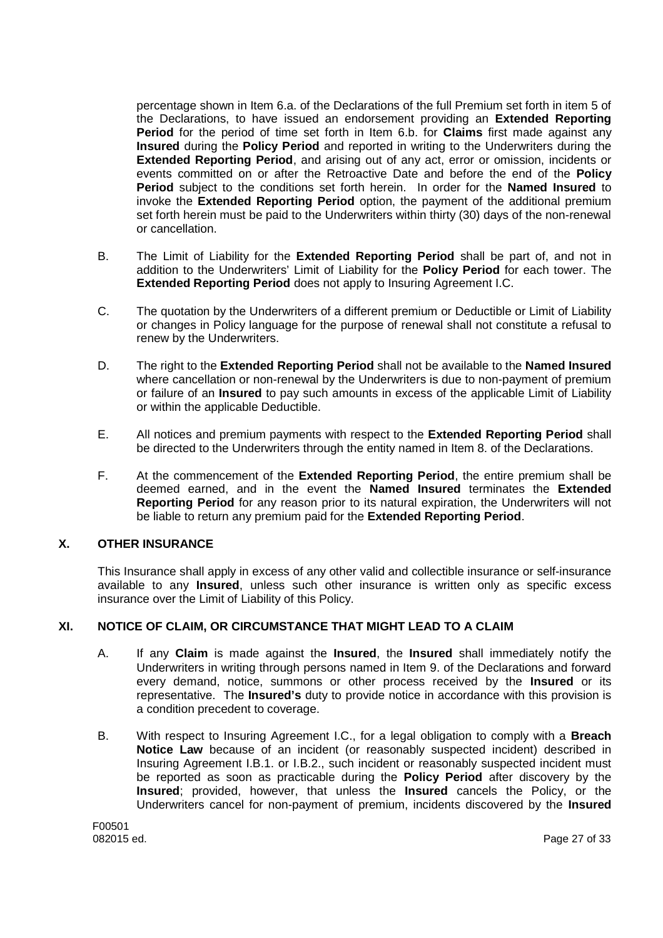percentage shown in Item 6.a. of the Declarations of the full Premium set forth in item 5 of the Declarations, to have issued an endorsement providing an **Extended Reporting Period** for the period of time set forth in Item 6.b. for **Claims** first made against any **Insured** during the **Policy Period** and reported in writing to the Underwriters during the **Extended Reporting Period**, and arising out of any act, error or omission, incidents or events committed on or after the Retroactive Date and before the end of the **Policy Period** subject to the conditions set forth herein. In order for the **Named Insured** to invoke the **Extended Reporting Period** option, the payment of the additional premium set forth herein must be paid to the Underwriters within thirty (30) days of the non-renewal or cancellation.

- B. The Limit of Liability for the **Extended Reporting Period** shall be part of, and not in addition to the Underwriters' Limit of Liability for the **Policy Period** for each tower. The **Extended Reporting Period** does not apply to Insuring Agreement I.C.
- C. The quotation by the Underwriters of a different premium or Deductible or Limit of Liability or changes in Policy language for the purpose of renewal shall not constitute a refusal to renew by the Underwriters.
- D. The right to the **Extended Reporting Period** shall not be available to the **Named Insured** where cancellation or non-renewal by the Underwriters is due to non-payment of premium or failure of an **Insured** to pay such amounts in excess of the applicable Limit of Liability or within the applicable Deductible.
- E. All notices and premium payments with respect to the **Extended Reporting Period** shall be directed to the Underwriters through the entity named in Item 8. of the Declarations.
- F. At the commencement of the **Extended Reporting Period**, the entire premium shall be deemed earned, and in the event the **Named Insured** terminates the **Extended Reporting Period** for any reason prior to its natural expiration, the Underwriters will not be liable to return any premium paid for the **Extended Reporting Period**.

## **X. OTHER INSURANCE**

This Insurance shall apply in excess of any other valid and collectible insurance or self-insurance available to any **Insured**, unless such other insurance is written only as specific excess insurance over the Limit of Liability of this Policy.

## **XI. NOTICE OF CLAIM, OR CIRCUMSTANCE THAT MIGHT LEAD TO A CLAIM**

- A. If any **Claim** is made against the **Insured**, the **Insured** shall immediately notify the Underwriters in writing through persons named in Item 9. of the Declarations and forward every demand, notice, summons or other process received by the **Insured** or its representative. The **Insured's** duty to provide notice in accordance with this provision is a condition precedent to coverage.
- B. With respect to Insuring Agreement I.C., for a legal obligation to comply with a **Breach Notice Law** because of an incident (or reasonably suspected incident) described in Insuring Agreement I.B.1. or I.B.2., such incident or reasonably suspected incident must be reported as soon as practicable during the **Policy Period** after discovery by the **Insured**; provided, however, that unless the **Insured** cancels the Policy, or the Underwriters cancel for non-payment of premium, incidents discovered by the **Insured**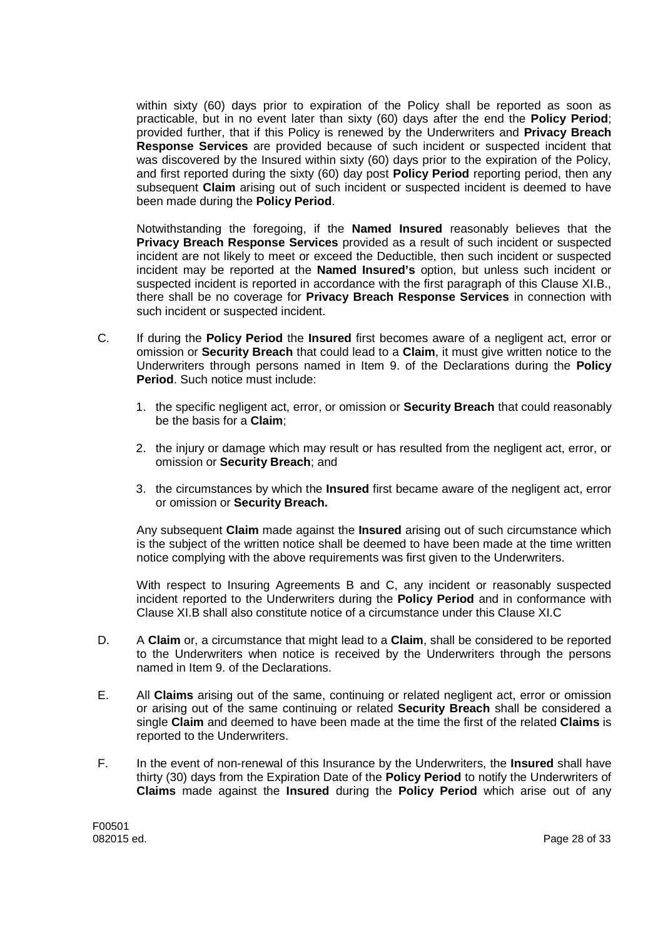within sixty (60) days prior to expiration of the Policy shall be reported as soon as practicable, but in no event later than sixty (60) days after the end the **Policy Period**; provided further, that if this Policy is renewed by the Underwriters and **Privacy Breach Response Services** are provided because of such incident or suspected incident that was discovered by the Insured within sixty (60) days prior to the expiration of the Policy, and first reported during the sixty (60) day post **Policy Period** reporting period, then any subsequent **Claim** arising out of such incident or suspected incident is deemed to have been made during the **Policy Period**.

Notwithstanding the foregoing, if the **Named Insured** reasonably believes that the **Privacy Breach Response Services** provided as a result of such incident or suspected incident are not likely to meet or exceed the Deductible, then such incident or suspected incident may be reported at the **Named Insured's** option, but unless such incident or suspected incident is reported in accordance with the first paragraph of this Clause XI.B., there shall be no coverage for **Privacy Breach Response Services** in connection with such incident or suspected incident.

- C. If during the **Policy Period** the **Insured** first becomes aware of a negligent act, error or omission or **Security Breach** that could lead to a **Claim**, it must give written notice to the Underwriters through persons named in Item 9. of the Declarations during the **Policy Period**. Such notice must include:
	- 1. the specific negligent act, error, or omission or **Security Breach** that could reasonably be the basis for a **Claim**;
	- 2. the injury or damage which may result or has resulted from the negligent act, error, or omission or **Security Breach**; and
	- 3. the circumstances by which the **Insured** first became aware of the negligent act, error or omission or **Security Breach.**

Any subsequent **Claim** made against the **Insured** arising out of such circumstance which is the subject of the written notice shall be deemed to have been made at the time written notice complying with the above requirements was first given to the Underwriters.

With respect to Insuring Agreements B and C, any incident or reasonably suspected incident reported to the Underwriters during the **Policy Period** and in conformance with Clause XI.B shall also constitute notice of a circumstance under this Clause XI.C

- D. A **Claim** or, a circumstance that might lead to a **Claim**, shall be considered to be reported to the Underwriters when notice is received by the Underwriters through the persons named in Item 9. of the Declarations.
- E. All **Claims** arising out of the same, continuing or related negligent act, error or omission or arising out of the same continuing or related **Security Breach** shall be considered a single **Claim** and deemed to have been made at the time the first of the related **Claims** is reported to the Underwriters.
- F. In the event of non-renewal of this Insurance by the Underwriters, the **Insured** shall have thirty (30) days from the Expiration Date of the **Policy Period** to notify the Underwriters of **Claims** made against the **Insured** during the **Policy Period** which arise out of any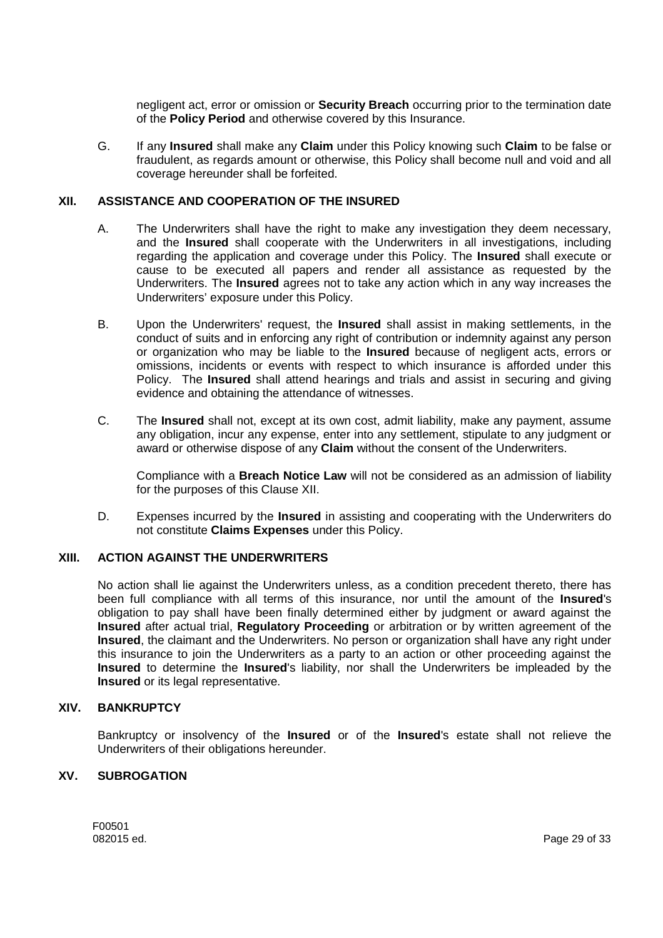negligent act, error or omission or **Security Breach** occurring prior to the termination date of the **Policy Period** and otherwise covered by this Insurance.

G. If any **Insured** shall make any **Claim** under this Policy knowing such **Claim** to be false or fraudulent, as regards amount or otherwise, this Policy shall become null and void and all coverage hereunder shall be forfeited.

## **XII. ASSISTANCE AND COOPERATION OF THE INSURED**

- A. The Underwriters shall have the right to make any investigation they deem necessary, and the **Insured** shall cooperate with the Underwriters in all investigations, including regarding the application and coverage under this Policy. The **Insured** shall execute or cause to be executed all papers and render all assistance as requested by the Underwriters. The **Insured** agrees not to take any action which in any way increases the Underwriters' exposure under this Policy.
- B. Upon the Underwriters' request, the **Insured** shall assist in making settlements, in the conduct of suits and in enforcing any right of contribution or indemnity against any person or organization who may be liable to the **Insured** because of negligent acts, errors or omissions, incidents or events with respect to which insurance is afforded under this Policy. The **Insured** shall attend hearings and trials and assist in securing and giving evidence and obtaining the attendance of witnesses.
- C. The **Insured** shall not, except at its own cost, admit liability, make any payment, assume any obligation, incur any expense, enter into any settlement, stipulate to any judgment or award or otherwise dispose of any **Claim** without the consent of the Underwriters.

Compliance with a **Breach Notice Law** will not be considered as an admission of liability for the purposes of this Clause XII.

D. Expenses incurred by the **Insured** in assisting and cooperating with the Underwriters do not constitute **Claims Expenses** under this Policy.

## **XIII. ACTION AGAINST THE UNDERWRITERS**

No action shall lie against the Underwriters unless, as a condition precedent thereto, there has been full compliance with all terms of this insurance, nor until the amount of the **Insured**'s obligation to pay shall have been finally determined either by judgment or award against the **Insured** after actual trial, **Regulatory Proceeding** or arbitration or by written agreement of the **Insured**, the claimant and the Underwriters. No person or organization shall have any right under this insurance to join the Underwriters as a party to an action or other proceeding against the **Insured** to determine the **Insured**'s liability, nor shall the Underwriters be impleaded by the **Insured** or its legal representative.

### **XIV. BANKRUPTCY**

Bankruptcy or insolvency of the **Insured** or of the **Insured**'s estate shall not relieve the Underwriters of their obligations hereunder.

## **XV. SUBROGATION**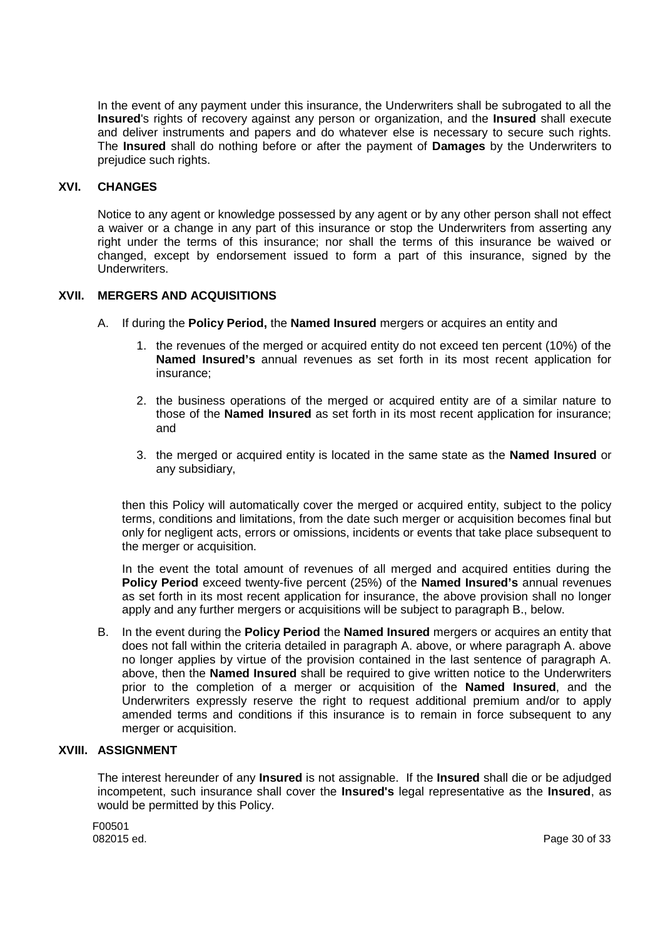In the event of any payment under this insurance, the Underwriters shall be subrogated to all the **Insured**'s rights of recovery against any person or organization, and the **Insured** shall execute and deliver instruments and papers and do whatever else is necessary to secure such rights. The **Insured** shall do nothing before or after the payment of **Damages** by the Underwriters to prejudice such rights.

## **XVI. CHANGES**

Notice to any agent or knowledge possessed by any agent or by any other person shall not effect a waiver or a change in any part of this insurance or stop the Underwriters from asserting any right under the terms of this insurance; nor shall the terms of this insurance be waived or changed, except by endorsement issued to form a part of this insurance, signed by the Underwriters.

## **XVII. MERGERS AND ACQUISITIONS**

- A. If during the **Policy Period,** the **Named Insured** mergers or acquires an entity and
	- 1. the revenues of the merged or acquired entity do not exceed ten percent (10%) of the **Named Insured's** annual revenues as set forth in its most recent application for insurance;
	- 2. the business operations of the merged or acquired entity are of a similar nature to those of the **Named Insured** as set forth in its most recent application for insurance; and
	- 3. the merged or acquired entity is located in the same state as the **Named Insured** or any subsidiary,

then this Policy will automatically cover the merged or acquired entity, subject to the policy terms, conditions and limitations, from the date such merger or acquisition becomes final but only for negligent acts, errors or omissions, incidents or events that take place subsequent to the merger or acquisition.

In the event the total amount of revenues of all merged and acquired entities during the **Policy Period** exceed twenty-five percent (25%) of the **Named Insured's** annual revenues as set forth in its most recent application for insurance, the above provision shall no longer apply and any further mergers or acquisitions will be subject to paragraph B., below.

B. In the event during the **Policy Period** the **Named Insured** mergers or acquires an entity that does not fall within the criteria detailed in paragraph A. above, or where paragraph A. above no longer applies by virtue of the provision contained in the last sentence of paragraph A. above, then the **Named Insured** shall be required to give written notice to the Underwriters prior to the completion of a merger or acquisition of the **Named Insured**, and the Underwriters expressly reserve the right to request additional premium and/or to apply amended terms and conditions if this insurance is to remain in force subsequent to any merger or acquisition.

## **XVIII. ASSIGNMENT**

The interest hereunder of any **Insured** is not assignable. If the **Insured** shall die or be adjudged incompetent, such insurance shall cover the **Insured's** legal representative as the **Insured**, as would be permitted by this Policy.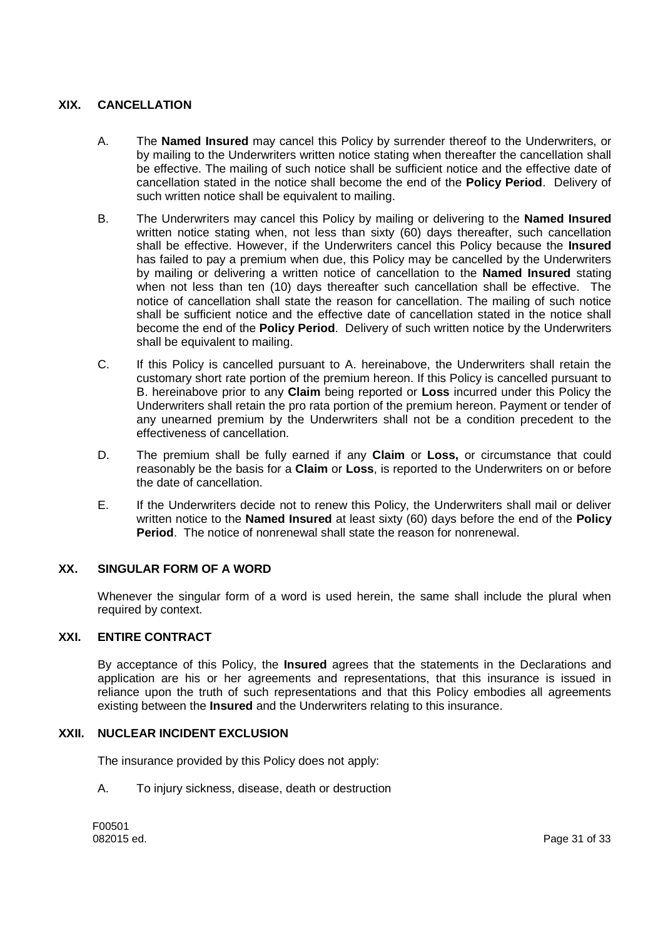# **XIX. CANCELLATION**

- A. The **Named Insured** may cancel this Policy by surrender thereof to the Underwriters, or by mailing to the Underwriters written notice stating when thereafter the cancellation shall be effective. The mailing of such notice shall be sufficient notice and the effective date of cancellation stated in the notice shall become the end of the **Policy Period**. Delivery of such written notice shall be equivalent to mailing.
- B. The Underwriters may cancel this Policy by mailing or delivering to the **Named Insured** written notice stating when, not less than sixty (60) days thereafter, such cancellation shall be effective. However, if the Underwriters cancel this Policy because the **Insured** has failed to pay a premium when due, this Policy may be cancelled by the Underwriters by mailing or delivering a written notice of cancellation to the **Named Insured** stating when not less than ten (10) days thereafter such cancellation shall be effective. The notice of cancellation shall state the reason for cancellation. The mailing of such notice shall be sufficient notice and the effective date of cancellation stated in the notice shall become the end of the **Policy Period**. Delivery of such written notice by the Underwriters shall be equivalent to mailing.
- C. If this Policy is cancelled pursuant to A. hereinabove, the Underwriters shall retain the customary short rate portion of the premium hereon. If this Policy is cancelled pursuant to B. hereinabove prior to any **Claim** being reported or **Loss** incurred under this Policy the Underwriters shall retain the pro rata portion of the premium hereon. Payment or tender of any unearned premium by the Underwriters shall not be a condition precedent to the effectiveness of cancellation.
- D. The premium shall be fully earned if any **Claim** or **Loss,** or circumstance that could reasonably be the basis for a **Claim** or **Loss**, is reported to the Underwriters on or before the date of cancellation.
- E. If the Underwriters decide not to renew this Policy, the Underwriters shall mail or deliver written notice to the **Named Insured** at least sixty (60) days before the end of the **Policy Period**. The notice of nonrenewal shall state the reason for nonrenewal.

### **XX. SINGULAR FORM OF A WORD**

Whenever the singular form of a word is used herein, the same shall include the plural when required by context.

### **XXI. ENTIRE CONTRACT**

By acceptance of this Policy, the **Insured** agrees that the statements in the Declarations and application are his or her agreements and representations, that this insurance is issued in reliance upon the truth of such representations and that this Policy embodies all agreements existing between the **Insured** and the Underwriters relating to this insurance.

### **XXII. NUCLEAR INCIDENT EXCLUSION**

The insurance provided by this Policy does not apply:

A. To injury sickness, disease, death or destruction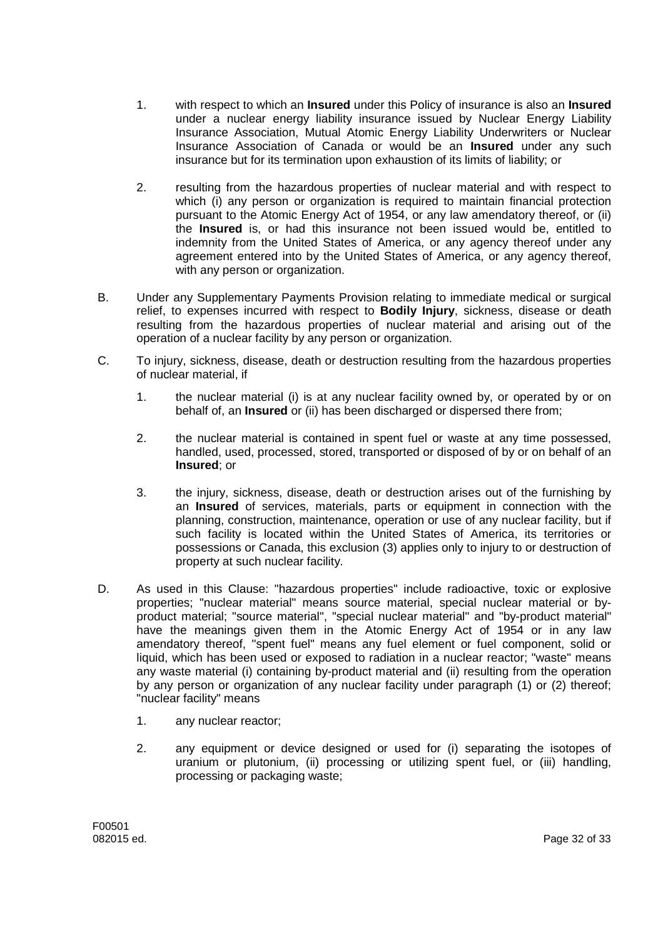- 1. with respect to which an **Insured** under this Policy of insurance is also an **Insured** under a nuclear energy liability insurance issued by Nuclear Energy Liability Insurance Association, Mutual Atomic Energy Liability Underwriters or Nuclear Insurance Association of Canada or would be an **Insured** under any such insurance but for its termination upon exhaustion of its limits of liability; or
- 2. resulting from the hazardous properties of nuclear material and with respect to which (i) any person or organization is required to maintain financial protection pursuant to the Atomic Energy Act of 1954, or any law amendatory thereof, or (ii) the **Insured** is, or had this insurance not been issued would be, entitled to indemnity from the United States of America, or any agency thereof under any agreement entered into by the United States of America, or any agency thereof, with any person or organization.
- B. Under any Supplementary Payments Provision relating to immediate medical or surgical relief, to expenses incurred with respect to **Bodily Injury**, sickness, disease or death resulting from the hazardous properties of nuclear material and arising out of the operation of a nuclear facility by any person or organization.
- C. To injury, sickness, disease, death or destruction resulting from the hazardous properties of nuclear material, if
	- 1. the nuclear material (i) is at any nuclear facility owned by, or operated by or on behalf of, an **Insured** or (ii) has been discharged or dispersed there from;
	- 2. the nuclear material is contained in spent fuel or waste at any time possessed, handled, used, processed, stored, transported or disposed of by or on behalf of an **Insured**; or
	- 3. the injury, sickness, disease, death or destruction arises out of the furnishing by an **Insured** of services, materials, parts or equipment in connection with the planning, construction, maintenance, operation or use of any nuclear facility, but if such facility is located within the United States of America, its territories or possessions or Canada, this exclusion (3) applies only to injury to or destruction of property at such nuclear facility.
- D. As used in this Clause: "hazardous properties" include radioactive, toxic or explosive properties; "nuclear material" means source material, special nuclear material or byproduct material; "source material", "special nuclear material" and "by-product material" have the meanings given them in the Atomic Energy Act of 1954 or in any law amendatory thereof, "spent fuel" means any fuel element or fuel component, solid or liquid, which has been used or exposed to radiation in a nuclear reactor; "waste" means any waste material (i) containing by-product material and (ii) resulting from the operation by any person or organization of any nuclear facility under paragraph (1) or (2) thereof; "nuclear facility" means
	- 1. any nuclear reactor;
	- 2. any equipment or device designed or used for (i) separating the isotopes of uranium or plutonium, (ii) processing or utilizing spent fuel, or (iii) handling, processing or packaging waste;